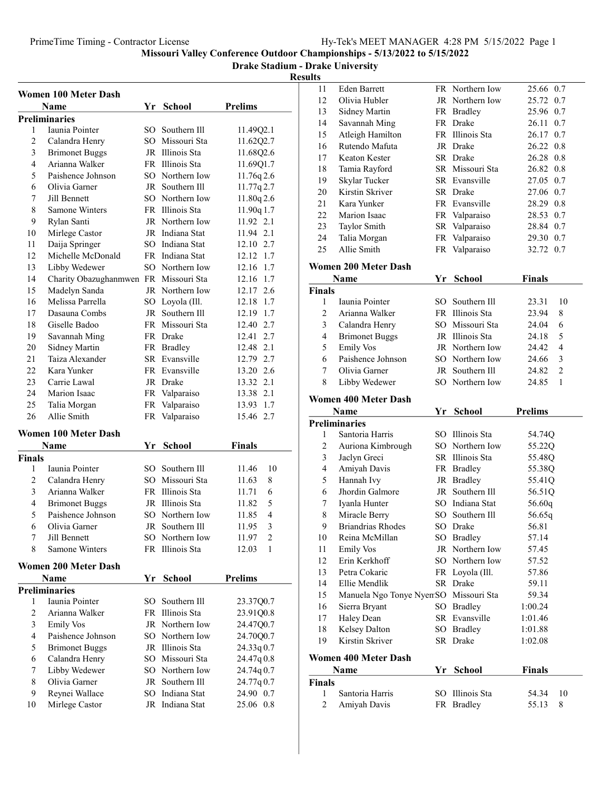Drake Stadium - Drake University

|                | <b>Women 100 Meter Dash</b>           |     |                 |                |
|----------------|---------------------------------------|-----|-----------------|----------------|
|                | <b>Name</b>                           | Yr  | <b>School</b>   | <b>Prelims</b> |
|                | <b>Preliminaries</b>                  |     |                 |                |
| 1              | Iaunia Pointer                        |     | SO Southern Ill | 11.49Q2.1      |
| $\overline{c}$ | Calandra Henry                        |     | SO Missouri Sta | 11.62Q2.7      |
| 3              | <b>Brimonet Buggs</b>                 |     | JR Illinois Sta | 11.68Q2.6      |
| 4              | Arianna Walker                        |     | FR Illinois Sta | 11.69Q1.7      |
| 5              | Paishence Johnson                     |     | SO Northern Iow | 11.76q 2.6     |
| 6              | Olivia Garner                         |     | JR Southern Ill | 11.77q 2.7     |
| 7              | Jill Bennett                          |     | SO Northern Iow | 11.80q2.6      |
| 8              | <b>Samone Winters</b>                 |     | FR Illinois Sta | 11.90q 1.7     |
| 9              | Rylan Santi                           |     | JR Northern Iow | 11.92 2.1      |
| 10             | Mirlege Castor                        |     | JR Indiana Stat | 11.94 2.1      |
| 11             | Daija Springer                        |     | SO Indiana Stat | 12.10 2.7      |
| 12             | Michelle McDonald                     |     | FR Indiana Stat | 12.12 1.7      |
| 13             | Libby Wedewer                         |     | SO Northern Iow | 12.16 1.7      |
| 14             | Charity Obazughanmwen FR Missouri Sta |     |                 | 12.16 1.7      |
| 15             | Madelyn Sanda                         |     | JR Northern Iow | 12.17 2.6      |
| 16             | Melissa Parrella                      |     | SO Loyola (Ill. | 12.18 1.7      |
| 17             | Dasauna Combs                         |     | JR Southern Ill | 12.19 1.7      |
| 18             | Giselle Badoo                         |     | FR Missouri Sta | 12.40 2.7      |
| 19             | Savannah Ming                         |     | FR Drake        | 12.41 2.7      |
| 20             | Sidney Martin                         |     | FR Bradley      | 12.48 2.1      |
| 21             | Taiza Alexander                       |     | SR Evansville   | 12.79 2.7      |
| 22             | Kara Yunker                           |     | FR Evansville   | 13.20 2.6      |
| 23             | Carrie Lawal                          |     | JR Drake        | 13.32 2.1      |
| 24             | Marion Isaac                          |     | FR Valparaiso   | 13.38 2.1      |
| 25             | Talia Morgan                          |     | FR Valparaiso   | 13.93 1.7      |
| 26             | Allie Smith                           |     | FR Valparaiso   | 15.46<br>2.7   |
|                | <b>Women 100 Meter Dash</b>           |     |                 |                |
|                | Name                                  | Yr  | <b>School</b>   | <b>Finals</b>  |
| <b>Finals</b>  |                                       |     |                 |                |
| 1              | Iaunia Pointer                        |     | SO Southern Ill | 11.46<br>10    |
| 2              | Calandra Henry                        |     | SO Missouri Sta | 11.63<br>8     |
| 3              | Arianna Walker                        |     | FR Illinois Sta | 11.71<br>6     |
| 4              | <b>Brimonet Buggs</b>                 |     | JR Illinois Sta | 5<br>11.82     |
| 5              | Paishence Johnson                     | SO. | Northern Iow    | 4<br>11.85     |
| 6              | Olivia Garner                         | JR  | Southern Ill    | 3<br>11.95     |
| 7              | Jill Bennett                          |     | SO Northern Iow | 11.97<br>2     |
| 8              | Samone Winters                        |     | FR Illinois Sta | 12.03<br>1     |
|                | <b>Women 200 Meter Dash</b>           |     |                 |                |
|                | Name                                  | Yr  | School          | <b>Prelims</b> |
|                | <b>Preliminaries</b>                  |     |                 |                |
| 1              | Iaunia Pointer                        | SO. | Southern Ill    | 23.37Q0.7      |
| $\overline{c}$ | Arianna Walker                        | FR. | Illinois Sta    | 23.91Q0.8      |
| 3              | <b>Emily Vos</b>                      |     | JR Northern Iow | 24.47Q0.7      |
| 4              | Paishence Johnson                     |     | SO Northern Iow | 24.70Q0.7      |
| 5              | <b>Brimonet Buggs</b>                 |     | JR Illinois Sta | 24.33q 0.7     |
| 6              | Calandra Henry                        |     | SO Missouri Sta | 24.47q0.8      |
| 7              | Libby Wedewer                         |     | SO Northern Iow | 24.74q 0.7     |
| 8              | Olivia Garner                         | JR  | Southern Ill    | 24.77q0.7      |
| 9              | Reynei Wallace                        | SO. | Indiana Stat    | 24.90 0.7      |
| 10             | Mirlege Castor                        |     | JR Indiana Stat | 25.06 0.8      |

| lts            |                                       |     |                 |                         |
|----------------|---------------------------------------|-----|-----------------|-------------------------|
| 11             | Eden Barrett                          |     | FR Northern Iow | 25.66 0.7               |
| 12             | Olivia Hubler                         |     | JR Northern Iow | 25.72 0.7               |
| 13             | <b>Sidney Martin</b>                  |     | FR Bradley      | 25.96 0.7               |
| 14             | Savannah Ming                         |     | FR Drake        | 0.7<br>26.11            |
| 15             | Atleigh Hamilton                      |     | FR Illinois Sta | 26.17 0.7               |
| 16             | Rutendo Mafuta                        |     | JR Drake        | 26.22 0.8               |
| 17             | Keaton Kester                         |     | SR Drake        | 26.28 0.8               |
| 18             | Tamia Rayford                         |     | SR Missouri Sta | 26.82 0.8               |
| 19             | Skylar Tucker                         |     | SR Evansville   | 27.05 0.7               |
| 20             | Kirstin Skriver                       |     | SR Drake        | 27.06 0.7               |
| 21             | Kara Yunker                           |     | FR Evansville   | 28.29 0.8               |
| 22             | Marion Isaac                          |     | FR Valparaiso   | 28.53 0.7               |
| 23             | Taylor Smith                          |     | SR Valparaiso   | 28.84 0.7               |
| 24             | Talia Morgan                          |     | FR Valparaiso   | 29.30 0.7               |
| 25             | Allie Smith                           | FR  | Valparaiso      | 32.72 0.7               |
|                | <b>Women 200 Meter Dash</b>           |     |                 |                         |
|                | Name                                  | Yr  | <b>School</b>   | <b>Finals</b>           |
| Finals         |                                       |     |                 |                         |
| 1              | Iaunia Pointer                        | SO. | Southern Ill    | 23.31<br>10             |
| 2              | Arianna Walker                        |     | FR Illinois Sta | 23.94<br>8              |
| 3              | Calandra Henry                        |     | SO Missouri Sta | 6<br>24.04              |
| 4              | <b>Brimonet Buggs</b>                 |     | JR Illinois Sta | 5<br>24.18              |
| 5              | <b>Emily Vos</b>                      |     | JR Northern Iow | $\overline{4}$<br>24.42 |
| 6              | Paishence Johnson                     |     | SO Northern Iow | 3<br>24.66              |
| 7              | Olivia Garner                         |     | JR Southern Ill | $\overline{c}$<br>24.82 |
| 8              | Libby Wedewer                         |     | SO Northern Iow | $\mathbf{1}$<br>24.85   |
|                |                                       |     |                 |                         |
|                | <b>Women 400 Meter Dash</b><br>Name   | Yr  | <b>School</b>   | <b>Prelims</b>          |
|                | <b>Preliminaries</b>                  |     |                 |                         |
| 1              | Santoria Harris                       |     | SO Illinois Sta | 54.74Q                  |
| $\mathbf{2}$   | Auriona Kimbrough                     |     | SO Northern Iow | 55.22Q                  |
| 3              | Jaclyn Greci                          |     | SR Illinois Sta | 55.48Q                  |
| 4              | Amiyah Davis                          |     | FR Bradley      | 55.38Q                  |
| 5              | Hannah Ivy                            |     | JR Bradley      | 55.41Q                  |
| 6              | Jhordin Galmore                       |     | JR Southern Ill | 56.51Q                  |
| 7              | Iyanla Hunter                         | SO. | Indiana Stat    | 56.60q                  |
| 8              | Miracle Berry                         | SO  | Southern Ill    | 56.65q                  |
| 9              | <b>Briandrias Rhodes</b>              |     | SO Drake        | 56.81                   |
| 10             | Reina McMillan                        |     | SO Bradley      | 57.14                   |
| 11             | <b>Emily Vos</b>                      |     | JR Northern Iow | 57.45                   |
| 12             | Erin Kerkhoff                         |     | SO Northern Iow | 57.52                   |
| 13             | Petra Cokaric                         |     | FR Loyola (Ill. | 57.86                   |
| 14             | Ellie Mendlik                         |     | SR Drake        | 59.11                   |
| 15             | Manuela Ngo Tonye NyemSO Missouri Sta |     |                 | 59.34                   |
| 16             | Sierra Bryant                         |     | SO Bradley      | 1:00.24                 |
| 17             | Haley Dean                            |     | SR Evansville   | 1:01.46                 |
| 18             | Kelsey Dalton                         |     | SO Bradley      | 1:01.88                 |
| 19             | Kirstin Skriver                       |     | SR Drake        | 1:02.08                 |
|                |                                       |     |                 |                         |
|                | <b>Women 400 Meter Dash</b>           |     |                 |                         |
|                | Name                                  | Yr  | School          | <b>Finals</b>           |
| Finals         |                                       |     |                 |                         |
| 1              | Santoria Harris                       |     | SO Illinois Sta | 10<br>54.34             |
| $\overline{c}$ | Amiyah Davis                          |     | FR Bradley      | 55.13<br>8              |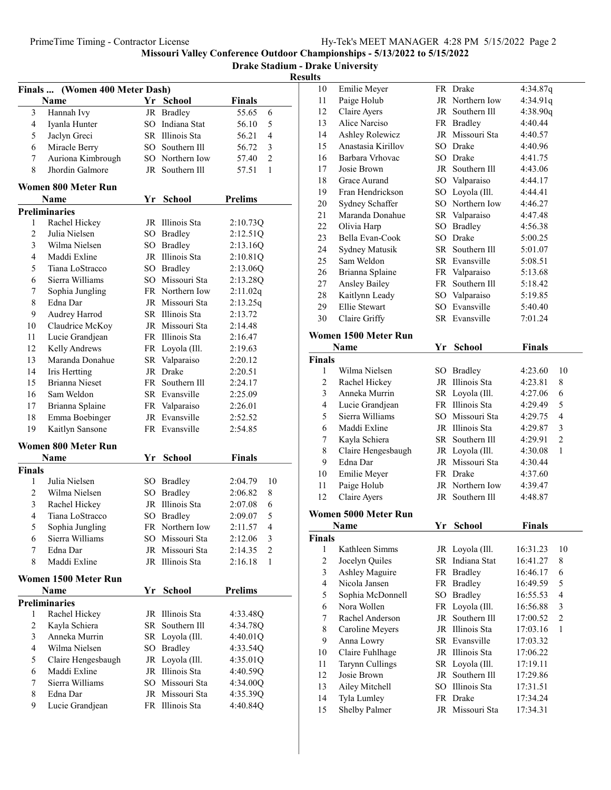Drake Stadium - Drake University Results

| Finals  (Women 400 Meter Dash) |                            |          |                 |                                    |  |  |
|--------------------------------|----------------------------|----------|-----------------|------------------------------------|--|--|
|                                | Name                       |          | Yr School       | <b>Finals</b>                      |  |  |
| 3                              | Hannah Ivy                 |          | JR Bradley      | 55.65<br>6                         |  |  |
| 4                              | Iyanla Hunter              |          | SO Indiana Stat | 56.10<br>5                         |  |  |
| 5                              | Jaclyn Greci               |          | SR Illinois Sta | 4<br>56.21                         |  |  |
| 6                              | Miracle Berry              |          | SO Southern Ill | 56.72<br>3                         |  |  |
| 7                              | Auriona Kimbrough          |          | SO Northern Iow | $\overline{c}$<br>57.40            |  |  |
| 8                              | Jhordin Galmore            |          | JR Southern Ill | 57.51<br>1                         |  |  |
|                                | Women 800 Meter Run        |          |                 |                                    |  |  |
|                                | Name                       | Yr       | School          | <b>Prelims</b>                     |  |  |
|                                | <b>Preliminaries</b>       |          |                 |                                    |  |  |
| 1                              | Rachel Hickey              |          | JR Illinois Sta | 2:10.73Q                           |  |  |
| $\overline{c}$                 | Julia Nielsen              |          | SO Bradley      | 2:12.51Q                           |  |  |
| 3                              | Wilma Nielsen              |          | SO Bradley      | 2:13.16Q                           |  |  |
| $\overline{4}$                 | Maddi Exline               |          | JR Illinois Sta | 2:10.81Q                           |  |  |
| 5                              | Tiana LoStracco            |          | SO Bradley      | 2:13.06Q                           |  |  |
| 6                              | Sierra Williams            |          | SO Missouri Sta | 2:13.28Q                           |  |  |
| 7                              | Sophia Jungling            |          | FR Northern Iow | 2:11.02q                           |  |  |
| 8                              | Edna Dar                   |          | JR Missouri Sta | 2:13.25q                           |  |  |
| 9                              | Audrey Harrod              |          | SR Illinois Sta | 2:13.72                            |  |  |
| 10                             | Claudrice McKoy            |          | JR Missouri Sta | 2:14.48                            |  |  |
| 11                             | Lucie Grandjean            |          | FR Illinois Sta | 2:16.47                            |  |  |
| 12                             | Kelly Andrews              |          | FR Loyola (Ill. | 2:19.63                            |  |  |
| 13                             | Maranda Donahue            |          | SR Valparaiso   | 2:20.12                            |  |  |
| 14                             | Iris Hertting              |          | JR Drake        | 2:20.51                            |  |  |
| 15                             | Brianna Nieset             |          | FR Southern Ill | 2:24.17                            |  |  |
| 16                             | Sam Weldon                 |          | SR Evansville   | 2:25.09                            |  |  |
| 17                             | Brianna Splaine            |          | FR Valparaiso   | 2:26.01                            |  |  |
| 18                             | Emma Boebinger             |          | JR Evansville   | 2:52.52                            |  |  |
| 19                             | Kaitlyn Sansone            |          | FR Evansville   | 2:54.85                            |  |  |
|                                | <b>Women 800 Meter Run</b> |          |                 |                                    |  |  |
|                                | Name                       | Yr       | <b>School</b>   | <b>Finals</b>                      |  |  |
| Finals                         |                            |          |                 |                                    |  |  |
| 1                              | Julia Nielsen              |          | SO Bradley      | 2:04.79<br>10                      |  |  |
| $\mathfrak{2}$                 | Wilma Nielsen              | SO.      | <b>Bradley</b>  | 2:06.82<br>8                       |  |  |
| 3                              | Rachel Hickey              |          | JR Illinois Sta | 6<br>2:07.08                       |  |  |
| 4                              | Tiana LoStracco            | SO       | <b>Bradley</b>  | 5<br>2:09.07                       |  |  |
| 5                              | Sophia Jungling            | FR       | Northern Iow    | $\overline{\mathbf{4}}$<br>2:11.57 |  |  |
| 6                              | Sierra Williams            |          | SO Missouri Sta | 2:12.06<br>3                       |  |  |
| 7                              | Edna Dar                   |          | JR Missouri Sta | $\overline{c}$<br>2:14.35          |  |  |
| 8                              | Maddi Exline               |          | JR Illinois Sta | 2:16.18<br>1                       |  |  |
|                                | Women 1500 Meter Run       |          |                 |                                    |  |  |
|                                | Name                       |          | Yr School       | <b>Prelims</b>                     |  |  |
|                                | <b>Preliminaries</b>       |          |                 |                                    |  |  |
| 1                              | Rachel Hickey              | JR       | Illinois Sta    | 4:33.48Q                           |  |  |
| 2                              | Kayla Schiera              | SR       | Southern Ill    | 4:34.78Q                           |  |  |
| 3                              | Anneka Murrin              | SR       | Loyola (Ill.    | 4:40.01Q                           |  |  |
| $\overline{4}$                 | Wilma Nielsen              | SO       | <b>Bradley</b>  | 4:33.54Q                           |  |  |
| 5                              | Claire Hengesbaugh         | JR       | Loyola (Ill.    | 4:35.01Q                           |  |  |
| 6                              | Maddi Exline               | JR       | Illinois Sta    | 4:40.59Q                           |  |  |
| 7                              | Sierra Williams            | $SO_{-}$ | Missouri Sta    | 4:34.00Q                           |  |  |
| 8                              | Edna Dar                   |          | JR Missouri Sta | 4:35.39Q                           |  |  |
| 9                              | Lucie Grandjean            |          | FR Illinois Sta | 4:40.84Q                           |  |  |
|                                |                            |          |                 |                                    |  |  |

| 10 | Emilie Meyer       |          | FR Drake        | 4:34.87q |
|----|--------------------|----------|-----------------|----------|
| 11 | Paige Holub        |          | JR Northern Iow | 4:34.91q |
| 12 | Claire Ayers       |          | JR Southern Ill | 4:38.90q |
| 13 | Alice Narciso      |          | FR Bradley      | 4:40.44  |
| 14 | Ashley Rolewicz    |          | JR Missouri Sta | 4:40.57  |
| 15 | Anastasia Kirillov |          | SO Drake        | 4:40.96  |
| 16 | Barbara Vrhovac    |          | SO Drake        | 4:41.75  |
| 17 | Josie Brown        | JR       | Southern Ill    | 4:43.06  |
| 18 | Grace Aurand       |          | SO Valparaiso   | 4:44.17  |
| 19 | Fran Hendrickson   | $SO_{-}$ | Loyola (Ill.    | 4:44.41  |
| 20 | Sydney Schaffer    | SO.      | Northern Iow    | 4:46.27  |
| 21 | Maranda Donahue    |          | SR Valparaiso   | 4:47.48  |
| 22 | Olivia Harp        | SO       | Bradley         | 4:56.38  |
| 23 | Bella Evan-Cook    | SO.      | Drake           | 5:00.25  |
| 24 | Sydney Matusik     |          | SR Southern Ill | 5:01.07  |
| 25 | Sam Weldon         |          | SR Evansville   | 5:08.51  |
| 26 | Brianna Splaine    |          | FR Valparaiso   | 5:13.68  |
| 27 | Ansley Bailey      | FR       | Southern Ill    | 5:18.42  |
| 28 | Kaitlynn Leady     |          | SO Valparaiso   | 5:19.85  |
| 29 | Ellie Stewart      | SO.      | Evansville      | 5:40.40  |
| 30 | Claire Griffy      |          | SR Evansville   | 7:01.24  |
|    |                    |          |                 |          |

# Women 1500 Meter Run

|                | Name                 | Yr   | School          | <b>Finals</b> |                |
|----------------|----------------------|------|-----------------|---------------|----------------|
| <b>Finals</b>  |                      |      |                 |               |                |
| 1              | Wilma Nielsen        |      | SO Bradley      | 4:23.60       | 10             |
| $\overline{c}$ | Rachel Hickey        |      | JR Illinois Sta | 4:23.81       | 8              |
| 3              | Anneka Murrin        |      | SR Loyola (Ill. | 4:27.06       | 6              |
| $\overline{4}$ | Lucie Grandjean      |      | FR Illinois Sta | 4:29.49       | 5              |
| 5              | Sierra Williams      | SO.  | Missouri Sta    | 4:29.75       | $\overline{4}$ |
| 6              | Maddi Exline         |      | JR Illinois Sta | 4:29.87       | 3              |
| 7              | Kayla Schiera        |      | SR Southern Ill | 4:29.91       | $\overline{c}$ |
| 8              | Claire Hengesbaugh   |      | JR Loyola (Ill. | 4:30.08       | 1              |
| 9              | Edna Dar             |      | JR Missouri Sta | 4:30.44       |                |
| 10             | Emilie Meyer         |      | FR Drake        | 4:37.60       |                |
| 11             | Paige Holub          |      | JR Northern Iow | 4:39.47       |                |
| 12             | Claire Ayers         |      | JR Southern Ill | 4:48.87       |                |
|                | Women 5000 Meter Run |      |                 |               |                |
|                | Name                 | Yr   | <b>School</b>   | <b>Finals</b> |                |
| <b>Finals</b>  |                      |      |                 |               |                |
| 1              | Kathleen Simms       |      | JR Loyola (Ill. | 16:31.23      | 10             |
| $\overline{c}$ | Jocelyn Quiles       | SR - | Indiana Stat    | 16:41.27      | 8              |
| 3              | Ashley Maguire       |      | FR Bradley      | 16:46.17      | 6              |
| 4              | Nicola Jansen        |      | FR Bradley      | 16:49.59      | 5              |
| 5              | Sophia McDonnell     |      | SO Bradley      | 16:55.53      | $\overline{4}$ |
| 6              | Nora Wollen          |      | FR Loyola (Ill. | 16:56.88      | 3              |
| 7              | Rachel Anderson      | JR   | Southern Ill    | 17:00.52      | $\overline{2}$ |
| 8              | Caroline Meyers      |      | JR Illinois Sta | 17:03.16      | 1              |
| 9              | Anna Lowry           |      | SR Evansville   | 17:03.32      |                |
| 10             | Claire Fuhlhage      |      | JR Illinois Sta | 17:06.22      |                |
| 11             | Tarynn Cullings      |      | SR Loyola (Ill. | 17:19.11      |                |
| 12             | Josie Brown          |      | JR Southern Ill | 17:29.86      |                |
| 13             | Ailey Mitchell       | SO.  | Illinois Sta    | 17:31.51      |                |
| 14             | Tyla Lumley          |      | FR Drake        | 17:34.24      |                |
| 15             | <b>Shelby Palmer</b> |      | JR Missouri Sta | 17:34.31      |                |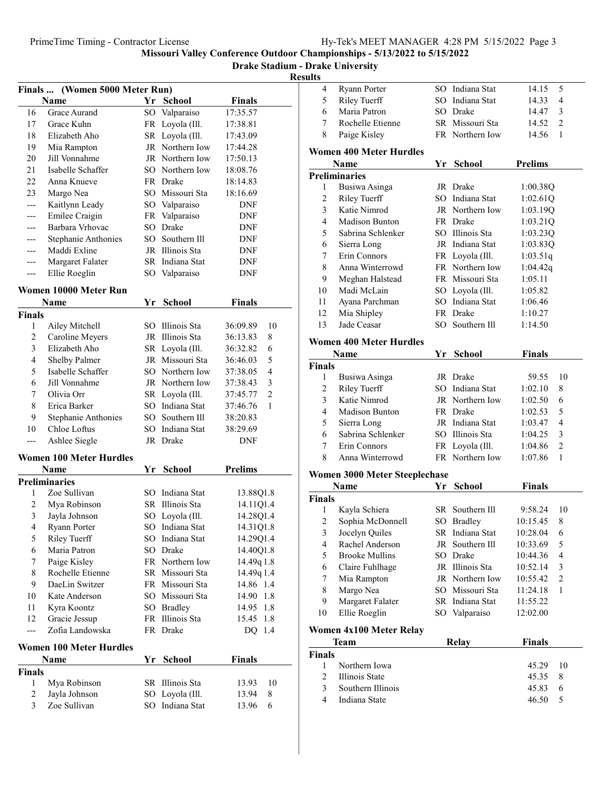Drake Stadium - Drake University

Resul

| Finals  (Women 5000 Meter Run) |                                |    |                 |                            |  |
|--------------------------------|--------------------------------|----|-----------------|----------------------------|--|
|                                | Name                           |    | Yr School       | <b>Finals</b>              |  |
| 16                             | Grace Aurand                   |    | SO Valparaiso   | 17:35.57                   |  |
| 17                             | Grace Kuhn                     | FR | Loyola (Ill.    | 17:38.81                   |  |
| 18                             | Elizabeth Aho                  | SR | Loyola (Ill.    | 17:43.09                   |  |
| 19                             | Mia Rampton                    | JR | Northern Iow    | 17:44.28                   |  |
| 20                             | Jill Vonnahme                  |    | JR Northern Iow | 17:50.13                   |  |
| 21                             | Isabelle Schaffer              |    | SO Northern Iow | 18:08.76                   |  |
| 22                             | Anna Knueve                    |    | FR Drake        | 18:14.83                   |  |
| 23                             | Margo Nea                      |    | SO Missouri Sta | 18:16.69                   |  |
| ---                            | Kaitlynn Leady                 |    | SO Valparaiso   | <b>DNF</b>                 |  |
|                                | Emilee Craigin                 |    | FR Valparaiso   | DNF                        |  |
| ---                            | Barbara Vrhovac                |    | SO Drake        | DNF                        |  |
| ---                            | <b>Stephanie Anthonies</b>     |    | SO Southern Ill | DNF                        |  |
| ---                            | Maddi Exline                   |    | JR Illinois Sta | DNF                        |  |
| ---                            | Margaret Falater               |    | SR Indiana Stat | DNF                        |  |
| ---                            | Ellie Roeglin                  |    | SO Valparaiso   | DNF                        |  |
|                                | Women 10000 Meter Run          |    |                 |                            |  |
|                                | Name                           | Yr | <b>School</b>   | <b>Finals</b>              |  |
| <b>Finals</b>                  |                                |    |                 |                            |  |
| 1                              | Ailey Mitchell                 |    | SO Illinois Sta | 36:09.89<br>10             |  |
| 2                              | Caroline Meyers                |    | JR Illinois Sta | 36:13.83<br>8              |  |
| 3                              | Elizabeth Aho                  |    | SR Loyola (Ill. | 6<br>36:32.82              |  |
| 4                              | Shelby Palmer                  |    | JR Missouri Sta | 5<br>36:46.03              |  |
| 5                              | Isabelle Schaffer              |    | SO Northern Iow | 4<br>37:38.05              |  |
| 6                              | Jill Vonnahme                  |    | JR Northern Iow | 3<br>37:38.43              |  |
| 7                              | Olivia Orr                     |    | SR Loyola (Ill. | $\overline{2}$<br>37:45.77 |  |
| 8                              | Erica Barker                   |    | SO Indiana Stat | 1<br>37:46.76              |  |
| 9                              | <b>Stephanie Anthonies</b>     |    | SO Southern Ill | 38:20.83                   |  |
| 10                             | Chloe Loftus                   |    | SO Indiana Stat | 38:29.69                   |  |
| ---                            | Ashlee Siegle                  |    | JR Drake        | DNF                        |  |
|                                | <b>Women 100 Meter Hurdles</b> |    |                 |                            |  |
|                                | Name                           | Yr | <b>School</b>   | <b>Prelims</b>             |  |
|                                | <b>Preliminaries</b>           |    |                 |                            |  |
| 1                              | Zoe Sullivan                   |    | SO Indiana Stat | 13.88Q1.8                  |  |
| 2                              | Mya Robinson                   |    | SR Illinois Sta | 14.11Q1.4                  |  |
| 3                              | Jayla Johnson                  |    | SO Loyola (Ill. | 14.28Q1.4                  |  |
| 4                              | Ryann Porter                   |    | SO Indiana Stat | 14.31Q1.8                  |  |
| 5                              | Riley Tuerff                   |    | SO Indiana Stat | 14.29Q1.4                  |  |
| 6                              | Maria Patron                   | SO | Drake           | 14.40Q1.8                  |  |
| 7                              | Paige Kisley                   |    | FR Northern Iow | 14.49q 1.8                 |  |
| 8                              | Rochelle Etienne               |    | SR Missouri Sta | 14.49q 1.4                 |  |
| 9                              | DaeLin Switzer                 |    | FR Missouri Sta | 14.86 1.4                  |  |
| 10                             | Kate Anderson                  |    | SO Missouri Sta | 14.90<br>1.8               |  |
| 11                             | Kyra Koontz                    |    | SO Bradley      | 1.8<br>14.95               |  |
| 12                             | Gracie Jessup                  | FR | Illinois Sta    | 1.8<br>15.45               |  |
| ---                            | Zofia Landowska                |    | FR Drake        | 1.4<br>DQ                  |  |
|                                | <b>Women 100 Meter Hurdles</b> |    |                 |                            |  |
|                                | Name                           | Yr | <b>School</b>   | <b>Finals</b>              |  |
| <b>Finals</b>                  |                                |    |                 |                            |  |
| 1                              | Mya Robinson                   | SR | Illinois Sta    | 13.93<br>10                |  |
| 2                              | Jayla Johnson                  | SO | Loyola (Ill.    | 8<br>13.94                 |  |
| 3                              | Zoe Sullivan                   | SO | Indiana Stat    | 13.96<br>6                 |  |
|                                |                                |    |                 |                            |  |

| sults                   |                                      |    |                 |                |                |
|-------------------------|--------------------------------------|----|-----------------|----------------|----------------|
| 4                       | Ryann Porter                         |    | SO Indiana Stat | 14.15          | 5              |
| 5                       | Riley Tuerff                         |    | SO Indiana Stat | 14.33          | 4              |
| 6                       | Maria Patron                         |    | SO Drake        | 14.47          | 3              |
| 7                       | Rochelle Etienne                     |    | SR Missouri Sta | 14.52          | $\overline{2}$ |
| 8                       | Paige Kisley                         |    | FR Northern Iow | 14.56          | 1              |
|                         | <b>Women 400 Meter Hurdles</b>       |    |                 |                |                |
|                         | Name                                 | Yr | <b>School</b>   | <b>Prelims</b> |                |
|                         | <b>Preliminaries</b>                 |    |                 |                |                |
| 1                       | Busiwa Asinga                        |    | JR Drake        | 1:00.38Q       |                |
| $\mathbf{2}$            | Riley Tuerff                         |    | SO Indiana Stat | 1:02.61Q       |                |
| 3                       | Katie Nimrod                         |    | JR Northern Iow | 1:03.19Q       |                |
| 4                       | <b>Madison Bunton</b>                |    | FR Drake        | 1:03.21Q       |                |
| 5                       | Sabrina Schlenker                    |    | SO Illinois Sta | 1:03.23Q       |                |
| 6                       | Sierra Long                          |    | JR Indiana Stat | 1:03.83Q       |                |
| 7                       | Erin Connors                         |    | FR Loyola (Ill. | 1:03.51q       |                |
| 8                       | Anna Winterrowd                      |    | FR Northern Iow | 1:04.42q       |                |
| 9                       | Meghan Halstead                      |    | FR Missouri Sta | 1:05.11        |                |
| 10                      | Madi McLain                          |    | SO Loyola (Ill. | 1:05.82        |                |
| 11                      | Ayana Parchman                       |    | SO Indiana Stat | 1:06.46        |                |
| 12                      | Mia Shipley                          |    | FR Drake        | 1:10.27        |                |
| 13                      | Jade Ceasar                          |    | SO Southern Ill | 1:14.50        |                |
|                         | <b>Women 400 Meter Hurdles</b>       |    |                 |                |                |
|                         | Name                                 | Yr | <b>School</b>   | <b>Finals</b>  |                |
| <b>Finals</b>           |                                      |    |                 |                |                |
| 1                       | Busiwa Asinga                        |    | JR Drake        | 59.55          | 10             |
| 2                       | Riley Tuerff                         |    | SO Indiana Stat | 1:02.10        | 8              |
| 3                       | Katie Nimrod                         |    | JR Northern Iow | 1:02.50        | 6              |
| $\overline{4}$          | <b>Madison Bunton</b>                |    | FR Drake        | 1:02.53        | 5              |
| 5                       | Sierra Long                          |    | JR Indiana Stat | 1:03.47        | 4              |
| 6                       | Sabrina Schlenker                    |    | SO Illinois Sta | 1:04.25        | 3              |
| 7                       | Erin Connors                         |    | FR Loyola (Ill. | 1:04.86        | $\overline{c}$ |
| 8                       | Anna Winterrowd                      |    | FR Northern Iow | 1:07.86        | 1              |
|                         | <b>Women 3000 Meter Steeplechase</b> |    |                 |                |                |
|                         | Name                                 | Yr | <b>School</b>   | Finals         |                |
| <b>Finals</b>           |                                      |    |                 |                |                |
| 1                       | Kayla Schiera                        |    | SR Southern Ill | 9:58.24        | 10             |
| $\overline{\mathbf{c}}$ | Sophia McDonnell                     |    | SO Bradley      | 10:15.45       | 8              |
| 3                       | Jocelyn Quiles                       | SR | Indiana Stat    | 10:28.04       | 6              |
| 4                       | Rachel Anderson                      | JR | Southern Ill    | 10:33.69       | 5              |
| 5                       | <b>Brooke Mullins</b>                |    | SO Drake        | 10:44.36       | $\overline{4}$ |
| 6                       | Claire Fuhlhage                      |    | JR Illinois Sta | 10:52.14       | 3              |
| 7                       | Mia Rampton                          |    | JR Northern Iow | 10:55.42       | $\overline{2}$ |
| 8                       | Margo Nea                            |    | SO Missouri Sta | 11:24.18       | 1              |
| 9                       | Margaret Falater                     |    | SR Indiana Stat | 11:55.22       |                |
| 10                      | Ellie Roeglin                        |    | SO Valparaiso   | 12:02.00       |                |
|                         | <b>Women 4x100 Meter Relay</b>       |    |                 |                |                |
|                         | <b>Team</b>                          |    | <b>Relay</b>    | <b>Finals</b>  |                |
| <b>Finals</b>           |                                      |    |                 |                |                |
| 1                       | Northern Iowa                        |    |                 | 45.29          | 10             |
| $\overline{c}$          | Illinois State                       |    |                 | 45.35          | 8              |
| 3                       | Southern Illinois                    |    |                 | 45.83          | 6              |
| 4                       | Indiana State                        |    |                 | 46.50          | 5              |
|                         |                                      |    |                 |                |                |
|                         |                                      |    |                 |                |                |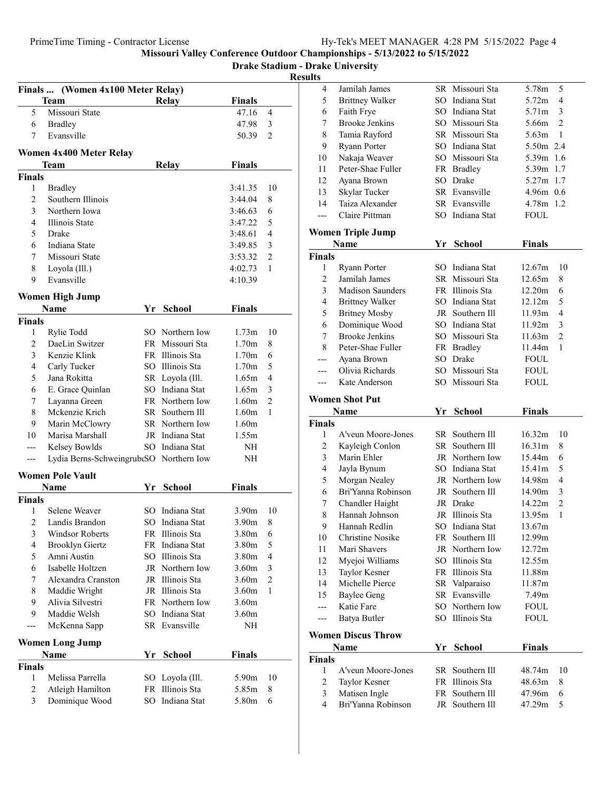Drake Stadium - Drake University

|                | Finals  (Women 4x100 Meter Relay)       |    |                 |                   |                |
|----------------|-----------------------------------------|----|-----------------|-------------------|----------------|
|                | <b>Team</b>                             |    | Relay           | <b>Finals</b>     |                |
| 5              | Missouri State                          |    |                 | 47.16             | 4              |
| 6              | <b>Bradley</b>                          |    |                 | 47.98             | 3              |
| 7              | Evansville                              |    |                 | 50.39             | 2              |
|                |                                         |    |                 |                   |                |
|                | Women 4x400 Meter Relay<br>Team         |    |                 | <b>Finals</b>     |                |
| <b>Finals</b>  |                                         |    | <b>Relay</b>    |                   |                |
| 1              | <b>Bradley</b>                          |    |                 | 3:41.35           | 10             |
| $\overline{2}$ | Southern Illinois                       |    |                 | 3:44.04           | 8              |
| 3              | Northern Iowa                           |    |                 | 3:46.63           | 6              |
| 4              | Illinois State                          |    |                 | 3:47.22           | 5              |
| 5              | Drake                                   |    |                 | 3:48.61           | 4              |
| 6              | Indiana State                           |    |                 | 3:49.85           | 3              |
| 7              | Missouri State                          |    |                 | 3:53.32           | $\overline{c}$ |
| 8              | Loyola (Ill.)                           |    |                 | 4:02.73           | 1              |
| 9              | Evansville                              |    |                 | 4:10.39           |                |
|                |                                         |    |                 |                   |                |
|                | <b>Women High Jump</b>                  |    |                 |                   |                |
|                | Name                                    |    | Yr School       | <b>Finals</b>     |                |
| <b>Finals</b>  |                                         |    |                 |                   |                |
| 1              | Rylie Todd                              |    | SO Northern Iow | 1.73m             | 10             |
| $\sqrt{2}$     | DaeLin Switzer                          |    | FR Missouri Sta | 1.70 <sub>m</sub> | 8              |
| 3              | Kenzie Klink                            |    | FR Illinois Sta | 1.70 <sub>m</sub> | 6              |
| 4              | Carly Tucker                            |    | SO Illinois Sta | 1.70 <sub>m</sub> | 5              |
| 5              | Jana Rokitta                            |    | SR Loyola (Ill. | 1.65m             | 4              |
| 6              | E. Grace Quinlan                        |    | SO Indiana Stat | 1.65m             | 3              |
| 7              | Layanna Green                           |    | FR Northern Iow | 1.60 <sub>m</sub> | $\overline{2}$ |
| $\,$ 8 $\,$    | Mckenzie Krich                          |    | SR Southern Ill | 1.60 <sub>m</sub> | 1              |
| 9              | Marin McClowry                          |    | SR Northern Iow | 1.60 <sub>m</sub> |                |
| 10             | Marisa Marshall                         |    | JR Indiana Stat | 1.55m             |                |
| ---            | Kelsey Bowlds                           |    | SO Indiana Stat | NH                |                |
| ---            | Lydia Berns-SchweingrubtSO Northern Iow |    |                 | NH                |                |
|                | <b>Women Pole Vault</b>                 |    |                 |                   |                |
|                | <b>Name</b>                             |    | Yr School       | Finals            |                |
| <b>Finals</b>  |                                         |    |                 |                   |                |
| 1              | Selene Weaver                           |    | SO Indiana Stat | 3.90 <sub>m</sub> | 10             |
| 2              | Landis Brandon                          |    | SO Indiana Stat | 3.90 <sub>m</sub> | 8              |
| 3              | Windsor Roberts                         |    | FR Illinois Sta | 3.80 <sub>m</sub> | 6              |
| 4              | <b>Brooklyn Giertz</b>                  |    | FR Indiana Stat | 3.80m             | 5              |
| 5              | Amni Austin                             |    | SO Illinois Sta | 3.80m             | 4              |
| 6              | Isabelle Holtzen                        |    | JR Northern Iow | 3.60m             | 3              |
| 7              | Alexandra Cranston                      |    | JR Illinois Sta | 3.60 <sub>m</sub> | $\overline{c}$ |
| 8              | Maddie Wright                           |    | JR Illinois Sta | 3.60m             | 1              |
| 9              | Alivia Silvestri                        |    | FR Northern Iow | 3.60m             |                |
| 9              | Maddie Welsh                            | SO | Indiana Stat    | 3.60m             |                |
| ---            | McKenna Sapp                            |    | SR Evansville   | NH                |                |
|                | <b>Women Long Jump</b>                  |    |                 |                   |                |
|                | Name                                    | Yr | <b>School</b>   | <b>Finals</b>     |                |
| <b>Finals</b>  |                                         |    |                 |                   |                |
| 1              | Melissa Parrella                        |    | SO Loyola (Ill. | 5.90m             | 10             |
| $\sqrt{2}$     | Atleigh Hamilton                        |    | FR Illinois Sta | 5.85m             | 8              |
| 3              | Dominique Wood                          |    | SO Indiana Stat | 5.80m             | 6              |
|                |                                         |    |                 |                   |                |

| 4                       | Jamilah James                           |     | SR Missouri Sta | 5.78m              | 5              |
|-------------------------|-----------------------------------------|-----|-----------------|--------------------|----------------|
| 5                       | <b>Brittney Walker</b>                  |     | SO Indiana Stat | 5.72 <sub>m</sub>  | 4              |
| 6                       | Faith Frye                              |     | SO Indiana Stat | 5.71m              | 3              |
| 7                       | <b>Brooke Jenkins</b>                   |     | SO Missouri Sta | 5.66m              | $\overline{2}$ |
| $\,$ $\,$               | Tamia Rayford                           |     | SR Missouri Sta | 5.63 <sub>m</sub>  | $\mathbf{1}$   |
| 9                       | Ryann Porter                            |     | SO Indiana Stat | 5.50m 2.4          |                |
| 10                      | Nakaja Weaver                           |     | SO Missouri Sta | 5.39m 1.6          |                |
| 11                      | Peter-Shae Fuller                       |     | FR Bradley      | 5.39m 1.7          |                |
| 12                      | Ayana Brown                             |     | SO Drake        | 5.27m 1.7          |                |
| 13                      | Skylar Tucker                           |     | SR Evansville   | 4.96m 0.6          |                |
| 14                      | Taiza Alexander                         |     | SR Evansville   | 4.78m 1.2          |                |
| $---$                   | Claire Pittman                          |     | SO Indiana Stat | <b>FOUL</b>        |                |
|                         |                                         |     |                 |                    |                |
|                         | <b>Women Triple Jump</b><br><b>Name</b> | Yr  | <b>School</b>   | <b>Finals</b>      |                |
| <b>Finals</b>           |                                         |     |                 |                    |                |
| 1                       | Ryann Porter                            |     | SO Indiana Stat | 12.67m             | 10             |
| $\overline{c}$          | Jamilah James                           |     | SR Missouri Sta | 12.65m             | 8              |
| 3                       | <b>Madison Saunders</b>                 |     | FR Illinois Sta | 12.20m             | 6              |
| $\overline{\mathbf{4}}$ | <b>Brittney Walker</b>                  |     | SO Indiana Stat | 12.12m             | 5              |
| 5                       | <b>Britney Mosby</b>                    |     | JR Southern Ill | 11.93m             | $\overline{4}$ |
| 6                       | Dominique Wood                          |     | SO Indiana Stat | 11.92m             | 3              |
| 7                       | <b>Brooke Jenkins</b>                   |     | SO Missouri Sta | 11.63m             | $\mathfrak{2}$ |
| 8                       | Peter-Shae Fuller                       |     | FR Bradley      | 11.44m             | $\mathbf{1}$   |
| ---                     | Ayana Brown                             |     | SO Drake        | FOUL               |                |
| ---                     | Olivia Richards                         |     | SO Missouri Sta | FOUL               |                |
| ---                     | Kate Anderson                           |     | SO Missouri Sta | <b>FOUL</b>        |                |
|                         |                                         |     |                 |                    |                |
|                         | <b>Women Shot Put</b>                   |     |                 |                    |                |
|                         |                                         |     |                 |                    |                |
|                         | Name                                    | Yr  | <b>School</b>   | <b>Finals</b>      |                |
| <b>Finals</b>           |                                         |     |                 |                    |                |
| 1                       | A'veun Moore-Jones                      |     | SR Southern Ill | 16.32m             | 10             |
| $\overline{c}$          | Kayleigh Conlon                         |     | SR Southern Ill | 16.31 <sub>m</sub> | 8              |
| 3                       | Marin Ehler                             |     | JR Northern Iow | 15.44m             | 6              |
| 4                       | Jayla Bynum                             |     | SO Indiana Stat | 15.41m             | 5              |
| 5                       | Morgan Nealey                           |     | JR Northern Iow | 14.98m             | 4              |
| 6                       | Bri'Yanna Robinson                      |     | JR Southern Ill | 14.90m             | 3              |
| 7                       | Chandler Haight                         |     | JR Drake        | 14.22m             | $\overline{c}$ |
| 8                       | Hannah Johnson                          |     | JR Illinois Sta | 13.95m             | 1              |
| 9                       | Hannah Redlin                           |     | SO Indiana Stat | 13.67m             |                |
| 10                      | Christine Nosike                        |     | FR Southern Ill | 12.99m             |                |
| 11                      | Mari Shavers                            |     | JR Northern Iow | 12.72m             |                |
| 12                      | Myejoi Williams                         |     | SO Illinois Sta | 12.55m             |                |
| 13                      | Taylor Kesner                           |     | FR Illinois Sta | 11.88m             |                |
| 14                      | Michelle Pierce                         |     | SR Valparaiso   | 11.87m             |                |
| 15                      | <b>Baylee Geng</b>                      |     | SR Evansville   | 7.49m              |                |
| ---                     | Katie Fare                              |     | SO Northern Iow | FOUL               |                |
| ---                     | <b>Batya Butler</b>                     | SO. | Illinois Sta    | <b>FOUL</b>        |                |
|                         | <b>Women Discus Throw</b>               |     |                 |                    |                |
|                         | Name                                    | Yr  | School          | <b>Finals</b>      |                |
| <b>Finals</b>           |                                         |     |                 |                    |                |
| 1                       | A'veun Moore-Jones                      | SR  | Southern Ill    | 48.74m             | 10             |
| $\overline{c}$          | Taylor Kesner                           | FR  | Illinois Sta    | 48.63m             | 8              |
| 3                       | Matisen Ingle                           | FR  | Southern Ill    | 47.96m             | 6              |
| $\overline{4}$          | Bri'Yanna Robinson                      | JR  | Southern Ill    | 47.29m             | 5              |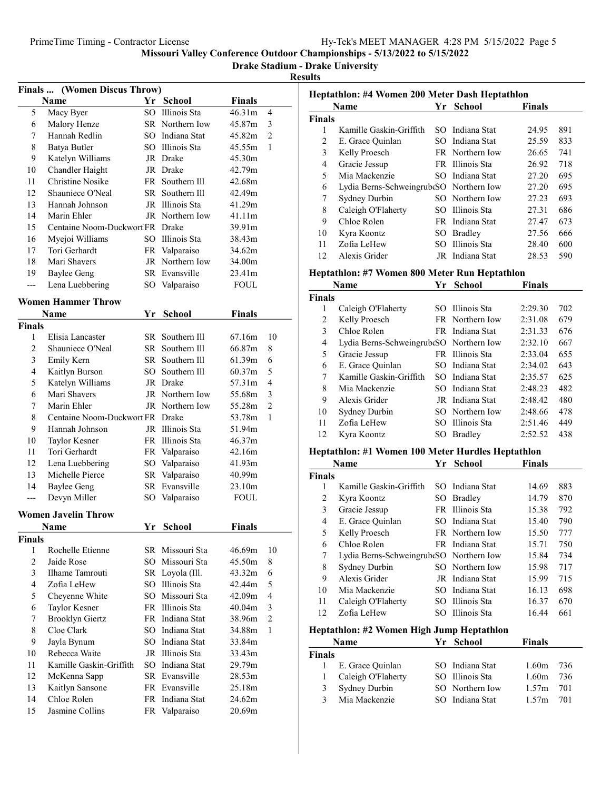#### Drake Stadium - Drake University

|                | <b>Finals </b> (Women Discus Throw) |    |                 |               |                |
|----------------|-------------------------------------|----|-----------------|---------------|----------------|
|                | Name                                |    | Yr School       | <b>Finals</b> |                |
| 5              | Macy Byer                           |    | SO Illinois Sta | 46.31m        | 4              |
| 6              | Malory Henze                        |    | SR Northern Iow | 45.87m        | 3              |
| 7              | Hannah Redlin                       |    | SO Indiana Stat | 45.82m        | $\overline{2}$ |
| 8              | Batya Butler                        |    | SO Illinois Sta | 45.55m        | 1              |
| 9              | Katelyn Williams                    |    | JR Drake        | 45.30m        |                |
| 10             | Chandler Haight                     |    | JR Drake        | 42.79m        |                |
| 11             | <b>Christine Nosike</b>             |    | FR Southern Ill | 42.68m        |                |
| 12             | Shauniece O'Neal                    |    | SR Southern III | 42.49m        |                |
| 13             | Hannah Johnson                      |    | JR Illinois Sta | 41.29m        |                |
| 14             | Marin Ehler                         |    | JR Northern Iow | 41.11m        |                |
| 15             | Centaine Noom-Duckwort FR Drake     |    |                 | 39.91m        |                |
| 16             | Myejoi Williams                     |    | SO Illinois Sta | 38.43m        |                |
| 17             | Tori Gerhardt                       |    | FR Valparaiso   | 34.62m        |                |
| 18             | Mari Shavers                        |    | JR Northern Iow | 34.00m        |                |
| 19             | <b>Baylee Geng</b>                  |    | SR Evansville   | 23.41m        |                |
| $---$          | Lena Luebbering                     |    | SO Valparaiso   | <b>FOUL</b>   |                |
|                |                                     |    |                 |               |                |
|                | <b>Women Hammer Throw</b>           |    |                 |               |                |
|                | Name                                |    | Yr School       | <b>Finals</b> |                |
| Finals         |                                     |    |                 |               |                |
| 1              | Elisia Lancaster                    |    | SR Southern Ill | 67.16m        | 10             |
| $\overline{c}$ | Shauniece O'Neal                    |    | SR Southern Ill | 66.87m        | 8              |
| 3              | Emily Kern                          |    | SR Southern Ill | 61.39m        | 6              |
| $\overline{4}$ | Kaitlyn Burson                      |    | SO Southern Ill | 60.37m        | 5              |
| 5              | Katelyn Williams                    |    | JR Drake        | 57.31m        | $\overline{4}$ |
| 6              | Mari Shavers                        |    | JR Northern Iow | 55.68m        | 3              |
| 7              | Marin Ehler                         |    | JR Northern Iow | 55.28m        | 2              |
| 8              | Centaine Noom-Duckwort FR Drake     |    |                 | 53.78m        | 1              |
| 9              | Hannah Johnson                      |    | JR Illinois Sta | 51.94m        |                |
| 10             | Taylor Kesner                       |    | FR Illinois Sta | 46.37m        |                |
| 11             | Tori Gerhardt                       |    | FR Valparaiso   | 42.16m        |                |
| 12             | Lena Luebbering                     |    | SO Valparaiso   | 41.93m        |                |
| 13             | Michelle Pierce                     |    | SR Valparaiso   | 40.99m        |                |
| 14             | <b>Baylee Geng</b>                  |    | SR Evansville   | 23.10m        |                |
| $---$          | Devyn Miller                        |    | SO Valparaiso   | <b>FOUL</b>   |                |
|                |                                     |    |                 |               |                |
|                | <b>Women Javelin Throw</b>          |    |                 |               |                |
|                | Name                                | Yr | <b>School</b>   | <b>Finals</b> |                |
| <b>Finals</b>  |                                     |    |                 |               |                |
| 1              | Rochelle Etienne                    |    | SR Missouri Sta | 46.69m        | 10             |
| $\overline{2}$ | Jaide Rose                          |    | SO Missouri Sta | 45.50m        | 8              |
| 3              | Ilhame Tamrouti                     |    | SR Loyola (Ill. | 43.32m        | 6              |
| 4              | Zofia LeHew                         |    | SO Illinois Sta | 42.44m        | 5              |
| 5              | Cheyenne White                      |    | SO Missouri Sta | 42.09m        | 4              |
| 6              | Taylor Kesner                       |    | FR Illinois Sta | 40.04m        | 3              |
| 7              | <b>Brooklyn Giertz</b>              |    | FR Indiana Stat | 38.96m        | $\overline{2}$ |
| 8              | Cloe Clark                          |    | SO Indiana Stat | 34.88m        | 1              |
| 9              | Jayla Bynum                         |    | SO Indiana Stat | 33.84m        |                |
| 10             | Rebecca Waite                       |    | JR Illinois Sta | 33.43m        |                |
| 11             | Kamille Gaskin-Griffith             |    | SO Indiana Stat | 29.79m        |                |
| 12             | McKenna Sapp                        |    | SR Evansville   | 28.53m        |                |
| 13             | Kaitlyn Sansone                     |    | FR Evansville   | 25.18m        |                |
| 14             | Chloe Rolen                         |    | FR Indiana Stat | 24.62m        |                |
| 15             | Jasmine Collins                     |    | FR Valparaiso   | 20.69m        |                |
|                |                                     |    |                 |               |                |

| Heptathlon: #4 Women 200 Meter Dash Heptathlon |                                                   |     |                 |                   |     |  |
|------------------------------------------------|---------------------------------------------------|-----|-----------------|-------------------|-----|--|
|                                                | Name                                              | Yr  | <b>School</b>   | <b>Finals</b>     |     |  |
| Finals                                         |                                                   |     |                 |                   |     |  |
| 1                                              | Kamille Gaskin-Griffith                           |     | SO Indiana Stat | 24.95             | 891 |  |
| $\overline{c}$                                 | E. Grace Quinlan                                  |     | SO Indiana Stat | 25.59             | 833 |  |
| $\mathfrak{Z}$                                 | Kelly Proesch                                     |     | FR Northern Iow | 26.65             | 741 |  |
| $\overline{4}$                                 | Gracie Jessup                                     |     | FR Illinois Sta | 26.92             | 718 |  |
| 5                                              | Mia Mackenzie                                     |     | SO Indiana Stat | 27.20             | 695 |  |
| 6                                              | Lydia Berns-SchweingrubtSO Northern Iow           |     |                 | 27.20             | 695 |  |
| 7                                              | Sydney Durbin                                     |     | SO Northern Iow | 27.23             | 693 |  |
| 8                                              | Caleigh O'Flaherty                                |     | SO Illinois Sta | 27.31             | 686 |  |
| 9                                              | Chloe Rolen                                       |     | FR Indiana Stat | 27.47             | 673 |  |
| 10                                             | Kyra Koontz                                       |     | SO Bradley      | 27.56             | 666 |  |
| 11                                             | Zofia LeHew                                       |     | SO Illinois Sta | 28.40             | 600 |  |
| 12                                             | Alexis Grider                                     |     | JR Indiana Stat | 28.53             | 590 |  |
|                                                | Heptathlon: #7 Women 800 Meter Run Heptathlon     |     |                 |                   |     |  |
|                                                | <b>Name</b>                                       |     | Yr School       | <b>Finals</b>     |     |  |
| Finals                                         |                                                   |     |                 |                   |     |  |
| 1                                              | Caleigh O'Flaherty                                |     | SO Illinois Sta | 2:29.30           | 702 |  |
| $\overline{c}$                                 | Kelly Proesch                                     |     | FR Northern Iow | 2:31.08           | 679 |  |
| 3                                              | Chloe Rolen                                       |     | FR Indiana Stat | 2:31.33           | 676 |  |
| $\overline{4}$                                 | Lydia Berns-SchweingrubtSO Northern Iow           |     |                 | 2:32.10           | 667 |  |
| 5                                              | Gracie Jessup                                     |     | FR Illinois Sta | 2:33.04           | 655 |  |
| 6                                              | E. Grace Quinlan                                  |     | SO Indiana Stat | 2:34.02           | 643 |  |
| 7                                              | Kamille Gaskin-Griffith                           |     | SO Indiana Stat | 2:35.57           | 625 |  |
| 8                                              | Mia Mackenzie                                     |     | SO Indiana Stat | 2:48.23           | 482 |  |
| 9                                              | Alexis Grider                                     |     | JR Indiana Stat | 2:48.42           | 480 |  |
| 10                                             | Sydney Durbin                                     |     | SO Northern Iow | 2:48.66           | 478 |  |
| 11                                             | Zofia LeHew                                       |     | SO Illinois Sta | 2:51.46           | 449 |  |
| 12                                             | Kyra Koontz                                       | SO. | <b>Bradley</b>  | 2:52.52           | 438 |  |
|                                                |                                                   |     |                 |                   |     |  |
|                                                | Heptathlon: #1 Women 100 Meter Hurdles Heptathlon |     |                 |                   |     |  |
|                                                | Name                                              | Yr  | <b>School</b>   | <b>Finals</b>     |     |  |
| Finals                                         |                                                   |     |                 |                   |     |  |
| 1                                              | Kamille Gaskin-Griffith                           |     | SO Indiana Stat | 14.69             | 883 |  |
| $\overline{c}$                                 | Kyra Koontz                                       |     | SO Bradley      | 14.79             | 870 |  |
| 3                                              | Gracie Jessup                                     |     | FR Illinois Sta | 15.38             | 792 |  |
| $\overline{4}$                                 | E. Grace Quinlan                                  |     | SO Indiana Stat | 15.40             | 790 |  |
| 5                                              | Kelly Proesch                                     |     | FR Northern Iow | 15.50             | 777 |  |
| 6                                              | Chloe Rolen                                       |     | FR Indiana Stat | 15.71             | 750 |  |
| 7                                              | Lydia Berns-SchweingrubtSO Northern Iow           |     |                 | 15.84             | 734 |  |
| 8                                              | Sydney Durbin                                     | SO  | Northern Iow    | 15.98             | 717 |  |
| 9                                              | Alexis Grider                                     |     | JR Indiana Stat | 15.99             | 715 |  |
| 10                                             | Mia Mackenzie                                     |     | SO Indiana Stat | 16.13             | 698 |  |
| 11                                             | Caleigh O'Flaherty                                |     | SO Illinois Sta | 16.37             | 670 |  |
| 12                                             | Zofia LeHew                                       | SО  | Illinois Sta    | 16.44             | 661 |  |
|                                                | Heptathlon: #2 Women High Jump Heptathlon         |     |                 |                   |     |  |
|                                                | <b>Name</b>                                       | Yr  | <b>School</b>   | <b>Finals</b>     |     |  |
| Finals                                         |                                                   |     |                 |                   |     |  |
| 1                                              | E. Grace Quinlan                                  |     | SO Indiana Stat | 1.60 <sub>m</sub> | 736 |  |
| $\mathbf{1}$                                   | Caleigh O'Flaherty                                |     | SO Illinois Sta | 1.60m             | 736 |  |
| $\mathfrak{Z}$                                 | Sydney Durbin                                     |     | SO Northern Iow | 1.57m             | 701 |  |
| 3                                              | Mia Mackenzie                                     |     | SO Indiana Stat | 1.57m             | 701 |  |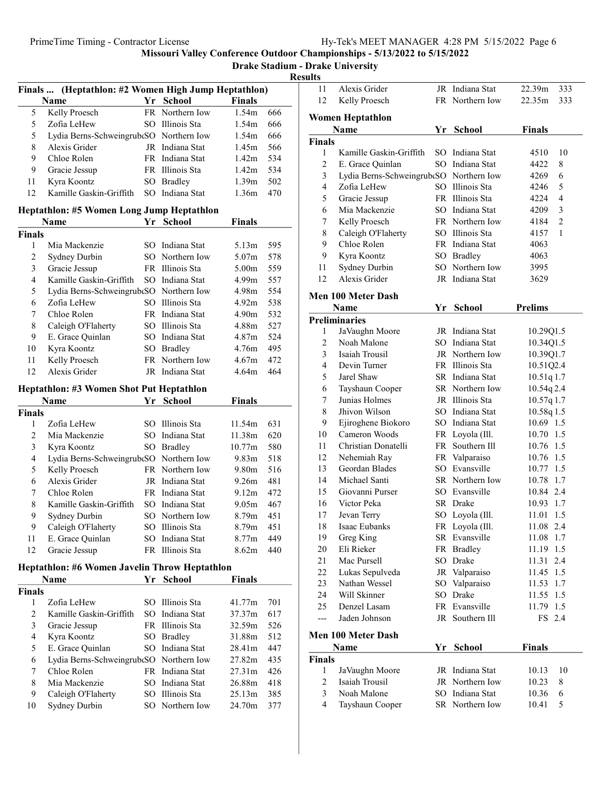Drake Stadium - Drake University

 $\frac{Results}{\frac{1}{1}}$ 

| Finals  (Heptathlon: #2 Women High Jump Heptathlon) |                                               |    |                 |                   |     |  |
|-----------------------------------------------------|-----------------------------------------------|----|-----------------|-------------------|-----|--|
|                                                     | Name                                          |    | Yr School       | <b>Finals</b>     |     |  |
| 5                                                   | Kelly Proesch                                 |    | FR Northern Iow | 1.54m             | 666 |  |
| 5                                                   | Zofia LeHew                                   |    | SO Illinois Sta | 1.54m             | 666 |  |
| 5                                                   | Lydia Berns-Schweingrub(SO Northern Iow       |    |                 | 1.54m             | 666 |  |
| 8                                                   | Alexis Grider                                 |    | JR Indiana Stat | 1.45m             | 566 |  |
| 9                                                   | Chloe Rolen                                   |    | FR Indiana Stat | 1.42 <sub>m</sub> | 534 |  |
| 9                                                   | Gracie Jessup                                 |    | FR Illinois Sta | 1.42m             | 534 |  |
| 11                                                  | Kyra Koontz                                   |    | SO Bradley      | 1.39m             | 502 |  |
| 12                                                  | Kamille Gaskin-Griffith                       |    | SO Indiana Stat | 1.36m             | 470 |  |
|                                                     |                                               |    |                 |                   |     |  |
|                                                     | Heptathlon: #5 Women Long Jump Heptathlon     |    |                 |                   |     |  |
|                                                     | Name                                          |    | Yr School       | <b>Finals</b>     |     |  |
| <b>Finals</b>                                       |                                               |    |                 |                   |     |  |
| 1                                                   | Mia Mackenzie                                 |    | SO Indiana Stat | 5.13m             | 595 |  |
| 2                                                   | Sydney Durbin                                 |    | SO Northern Iow | 5.07m             | 578 |  |
| 3                                                   | Gracie Jessup                                 |    | FR Illinois Sta | 5.00m             | 559 |  |
| $\overline{4}$                                      | Kamille Gaskin-Griffith                       |    | SO Indiana Stat | 4.99m             | 557 |  |
| 5                                                   | Lydia Berns-SchweingrubtSO Northern Iow       |    |                 | 4.98m             | 554 |  |
| 6                                                   | Zofia LeHew                                   |    | SO Illinois Sta | 4.92m             | 538 |  |
| 7                                                   | Chloe Rolen                                   |    | FR Indiana Stat | 4.90 <sub>m</sub> | 532 |  |
| 8                                                   | Caleigh O'Flaherty                            |    | SO Illinois Sta | 4.88m             | 527 |  |
| 9                                                   | E. Grace Quinlan                              |    | SO Indiana Stat | 4.87m             | 524 |  |
| 10                                                  | Kyra Koontz                                   |    | SO Bradley      | 4.76m             | 495 |  |
| 11                                                  | Kelly Proesch                                 |    | FR Northern Iow | 4.67m             | 472 |  |
| 12                                                  | Alexis Grider                                 |    | JR Indiana Stat | 4.64m             | 464 |  |
|                                                     | Heptathlon: #3 Women Shot Put Heptathlon      |    |                 |                   |     |  |
|                                                     | Name                                          |    | Yr School       | <b>Finals</b>     |     |  |
| <b>Finals</b>                                       |                                               |    |                 |                   |     |  |
| 1                                                   | Zofia LeHew                                   |    | SO Illinois Sta | 11.54m            | 631 |  |
| 2                                                   | Mia Mackenzie                                 |    | SO Indiana Stat | 11.38m            | 620 |  |
| 3                                                   | Kyra Koontz                                   |    | SO Bradley      | 10.77m            | 580 |  |
| $\overline{\mathbf{4}}$                             | Lydia Berns-SchweingrubtSO Northern Iow       |    |                 | 9.83 <sub>m</sub> | 518 |  |
| 5                                                   | Kelly Proesch                                 |    | FR Northern Iow | 9.80m             | 516 |  |
| 6                                                   | Alexis Grider                                 |    | JR Indiana Stat | 9.26m             | 481 |  |
| 7                                                   | Chloe Rolen                                   |    | FR Indiana Stat | 9.12 <sub>m</sub> | 472 |  |
| 8                                                   | Kamille Gaskin-Griffith                       |    | SO Indiana Stat | 9.05 <sub>m</sub> | 467 |  |
| 9                                                   |                                               |    | SO Northern Iow | 8.79m             |     |  |
|                                                     | Sydney Durbin                                 |    |                 |                   | 451 |  |
| 9                                                   | Caleigh O'Flaherty                            |    | SO Illinois Sta | 8.79m             | 451 |  |
| 11                                                  | E. Grace Quinlan                              |    | SO Indiana Stat | 8.77m             | 449 |  |
| 12                                                  | Gracie Jessup                                 |    | FR Illinois Sta | 8.62m             | 440 |  |
|                                                     | Heptathlon: #6 Women Javelin Throw Heptathlon |    |                 |                   |     |  |
|                                                     | Name                                          | Yr | <b>School</b>   | Finals            |     |  |
| <b>Finals</b>                                       |                                               |    |                 |                   |     |  |
| 1                                                   | Zofia LeHew                                   |    | SO Illinois Sta | 41.77m            | 701 |  |
| 2                                                   | Kamille Gaskin-Griffith                       |    | SO Indiana Stat | 37.37m            | 617 |  |
| 3                                                   | Gracie Jessup                                 |    | FR Illinois Sta | 32.59m            | 526 |  |
| $\overline{4}$                                      | Kyra Koontz                                   |    | SO Bradley      | 31.88m            | 512 |  |
| 5                                                   | E. Grace Quinlan                              |    | SO Indiana Stat | 28.41m            | 447 |  |
| 6                                                   | Lydia Berns-SchweingrubtSO Northern Iow       |    |                 | 27.82m            | 435 |  |
| 7                                                   | Chloe Rolen                                   |    | FR Indiana Stat | 27.31m            | 426 |  |
| 8                                                   | Mia Mackenzie                                 |    | SO Indiana Stat | 26.88m            | 418 |  |
| 9                                                   | Caleigh O'Flaherty                            |    | SO Illinois Sta | 25.13m            | 385 |  |
| 10                                                  | Sydney Durbin                                 |    | SO Northern Iow | 24.70m            | 377 |  |
|                                                     |                                               |    |                 |                   |     |  |
|                                                     |                                               |    |                 |                   |     |  |

| 11                 | Alexis Grider                           | JR  | Indiana Stat                       | 22.39m<br>333            |
|--------------------|-----------------------------------------|-----|------------------------------------|--------------------------|
| 12                 | Kelly Proesch                           |     | FR Northern Iow                    | 22.35m<br>333            |
|                    |                                         |     |                                    |                          |
|                    | <b>Women Heptathlon</b>                 |     |                                    |                          |
|                    | Name                                    |     | Yr School                          | Finals                   |
| <b>Finals</b><br>1 | Kamille Gaskin-Griffith                 |     | SO Indiana Stat                    | 10<br>4510               |
| $\overline{c}$     | E. Grace Quinlan                        |     | SO Indiana Stat                    | 4422<br>8                |
| 3                  | Lydia Berns-SchweingrubtSO Northern Iow |     |                                    | 6<br>4269                |
| 4                  | Zofia LeHew                             |     | SO Illinois Sta                    | 5<br>4246                |
| 5                  | Gracie Jessup                           |     | FR Illinois Sta                    | 4<br>4224                |
| 6                  | Mia Mackenzie                           |     | SO Indiana Stat                    | 3<br>4209                |
| 7                  | Kelly Proesch                           |     | FR Northern Iow                    | $\overline{c}$<br>4184   |
| 8                  | Caleigh O'Flaherty                      |     | SO Illinois Sta                    | $\mathbf{1}$<br>4157     |
| 9                  | Chloe Rolen                             |     | FR Indiana Stat                    | 4063                     |
| 9                  | Kyra Koontz                             | SO. | <b>Bradley</b>                     | 4063                     |
| 11                 | Sydney Durbin                           | SO  | Northern Iow                       | 3995                     |
| 12                 | Alexis Grider                           | JR  | Indiana Stat                       | 3629                     |
|                    |                                         |     |                                    |                          |
|                    | Men 100 Meter Dash                      |     |                                    |                          |
|                    | Name                                    | Yr  | <b>School</b>                      | <b>Prelims</b>           |
|                    | <b>Preliminaries</b>                    |     |                                    |                          |
| 1                  | JaVaughn Moore                          |     | JR Indiana Stat                    | 10.29Q1.5                |
| 2                  | Noah Malone                             |     | SO Indiana Stat                    | 10.34Q1.5                |
| 3                  | Isaiah Trousil                          |     | JR Northern Iow                    | 10.39Q1.7                |
| 4                  | Devin Turner                            |     | FR Illinois Sta                    | 10.51Q2.4                |
| 5                  | Jarel Shaw                              |     | SR Indiana Stat                    | 10.51q 1.7               |
| 6                  | Tayshaun Cooper<br>Junias Holmes        |     | SR Northern Iow<br>JR Illinois Sta | $10.54q$ 2.4             |
| 7<br>8             | Jhivon Wilson                           |     | SO Indiana Stat                    | 10.57q 1.7<br>10.58q 1.5 |
| 9                  | Ejiroghene Biokoro                      |     | SO Indiana Stat                    | 10.69 1.5                |
| 10                 | Cameron Woods                           |     | FR Loyola (Ill.                    | 10.70 1.5                |
| 11                 | Christian Donatelli                     |     | FR Southern Ill                    | 10.76 1.5                |
| 12                 | Nehemiah Ray                            |     | FR Valparaiso                      | 10.76 1.5                |
| 13                 | Geordan Blades                          |     | SO Evansville                      | 10.77 1.5                |
| 14                 | Michael Santi                           |     | SR Northern Iow                    | 10.78<br>1.7             |
| 15                 | Giovanni Purser                         |     | SO Evansville                      | 10.84 2.4                |
| 16                 | Victor Peka                             |     | SR Drake                           | 10.93<br>1.7             |
| 17                 | Jevan Terry                             |     | SO Loyola (Ill.                    | 11.01<br>1.5             |
| 18                 | Isaac Eubanks                           |     | FR Loyola (Ill.                    | 11.08<br>2.4             |
| 19                 | Greg King                               |     | SR Evansville                      | 11.08<br>1.7             |
| 20                 | Eli Rieker                              |     | FR Bradley                         | 11.19<br>1.5             |
| 21                 | Mac Pursell                             |     | SO Drake                           | 2.4<br>11.31             |
| 22                 | Lukas Sepulveda                         |     | JR Valparaiso                      | 11.45<br>1.5             |
| 23                 | Nathan Wessel                           |     | SO Valparaiso                      | 1.7<br>11.53             |
| 24                 | Will Skinner                            |     | SO Drake                           | 11.55<br>1.5             |
| 25                 | Denzel Lasam                            |     | FR Evansville                      | 1.5<br>11.79             |
| ---                | Jaden Johnson                           |     | JR Southern Ill                    | 2.4<br>FS                |
|                    |                                         |     |                                    |                          |
|                    | Men 100 Meter Dash                      |     |                                    |                          |
| Finals             | Name                                    | Yr  | <b>School</b>                      | Finals                   |
| 1                  | JaVaughn Moore                          |     | JR Indiana Stat                    | 10.13<br>10              |
| $\overline{c}$     | Isaiah Trousil                          | JR  | Northern Iow                       | 10.23<br>8               |
| 3                  | Noah Malone                             |     | SO Indiana Stat                    | 10.36<br>6               |
| $\overline{4}$     | Tayshaun Cooper                         |     | SR Northern Iow                    | 5<br>10.41               |
|                    |                                         |     |                                    |                          |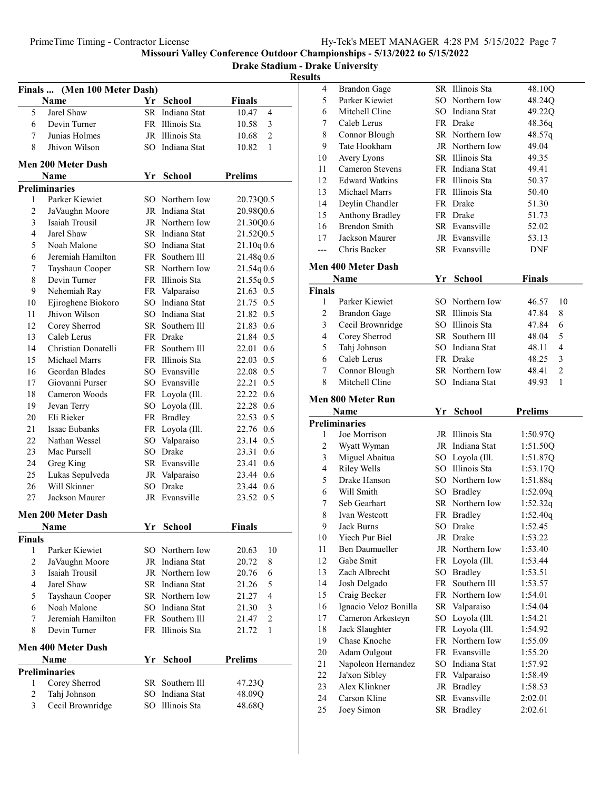#### Drake Stadium - Drake University Results

|                | Finals  (Men 100 Meter Dash)     |     |                           |                              |
|----------------|----------------------------------|-----|---------------------------|------------------------------|
|                | Name                             | Yr  | <b>School</b>             | <b>Finals</b>                |
| 5              | Jarel Shaw                       | SR  | Indiana Stat              | 10.47<br>4                   |
| 6              | Devin Turner                     |     | FR Illinois Sta           | 10.58<br>3                   |
| 7              | Junias Holmes                    |     | JR Illinois Sta           | $\overline{2}$<br>10.68      |
| 8              | Jhivon Wilson                    |     | SO Indiana Stat           | 1<br>10.82                   |
|                | <b>Men 200 Meter Dash</b>        |     |                           |                              |
|                | Name                             |     | Yr School                 | <b>Prelims</b>               |
|                | <b>Preliminaries</b>             |     |                           |                              |
| 1              | Parker Kiewiet                   | SO. | Northern Iow              | 20.73Q0.5                    |
| 2              | JaVaughn Moore                   |     | JR Indiana Stat           | 20.98Q0.6                    |
| 3              | Isaiah Trousil                   |     | JR Northern Iow           | 21.30Q0.6                    |
| 4              | Jarel Shaw                       |     | SR Indiana Stat           | 21.52Q0.5                    |
| 5              | Noah Malone                      |     | SO Indiana Stat           | 21.10q0.6                    |
| 6              | Jeremiah Hamilton                |     | FR Southern Ill           | 21.48q0.6                    |
| 7              | Tayshaun Cooper                  |     | SR Northern Iow           | 21.54q0.6                    |
| $\,$ 8 $\,$    | Devin Turner                     |     | FR Illinois Sta           | 21.55q0.5                    |
| 9              | Nehemiah Ray                     |     | FR Valparaiso             | 21.63 0.5                    |
| 10             | Ejiroghene Biokoro               |     | SO Indiana Stat           | 21.75 0.5                    |
| 11             | Jhivon Wilson                    |     | SO Indiana Stat           | 21.82 0.5                    |
| 12             | Corey Sherrod                    |     | SR Southern Ill           | 0.6<br>21.83                 |
| 13             | Caleb Lerus                      |     | FR Drake                  | 21.84 0.5                    |
| 14             | Christian Donatelli              |     | FR Southern Ill           | 0.6<br>22.01                 |
| 15             | Michael Marrs                    |     | FR Illinois Sta           | 0.5<br>22.03                 |
| 16             | Geordan Blades                   |     | SO Evansville             | 0.5<br>22.08                 |
| 17             | Giovanni Purser                  |     | SO Evansville             | 0.5<br>22.21                 |
| 18             | Cameron Woods                    |     | FR Loyola (Ill.           | 22.22<br>0.6                 |
| 19             |                                  |     | SO Loyola (Ill.           | 22.28 0.6                    |
| 20             | Jevan Terry<br>Eli Rieker        |     | FR Bradley                | 22.53 0.5                    |
| 21             | Isaac Eubanks                    |     |                           | 22.76 0.6                    |
| 22             | Nathan Wessel                    |     | FR Loyola (Ill.           | 23.14 0.5                    |
| 23             | Mac Pursell                      |     | SO Valparaiso<br>SO Drake | 23.31<br>0.6                 |
| 24             |                                  |     | SR Evansville             |                              |
| 25             | Greg King                        |     |                           | 23.41<br>0.6<br>23.44<br>0.6 |
| 26             | Lukas Sepulveda<br>Will Skinner  | SО  | JR Valparaiso<br>Drake    |                              |
| 27             | Jackson Maurer                   |     | JR Evansville             | 23.44 0.6<br>23.52 0.5       |
|                |                                  |     |                           |                              |
|                | Men 200 Meter Dash               |     |                           |                              |
|                | Name                             | Yr  | School                    | <b>Finals</b>                |
| <b>Finals</b>  |                                  |     |                           |                              |
| 1              | Parker Kiewiet                   |     | SO Northern Iow           | 20.63<br>10                  |
| $\overline{c}$ | JaVaughn Moore                   |     | JR Indiana Stat           | 20.72<br>8                   |
| 3              | Isaiah Trousil                   |     | JR Northern Iow           | 20.76<br>6                   |
| 4              | Jarel Shaw                       |     | SR Indiana Stat           | 21.26<br>5                   |
| 5              | Tayshaun Cooper                  |     | SR Northern Iow           | 21.27<br>$\overline{4}$      |
| 6              | Noah Malone                      |     | SO Indiana Stat           | 3<br>21.30                   |
| 7              | Jeremiah Hamilton                |     | FR Southern III           | 2<br>21.47                   |
| 8              | Devin Turner                     |     | FR Illinois Sta           | 1<br>21.72                   |
|                | <b>Men 400 Meter Dash</b>        |     |                           |                              |
|                | Name                             |     | <b>School</b>             | <b>Prelims</b>               |
|                | <b>Preliminaries</b>             | Yr  |                           |                              |
| 1              |                                  | SR  | Southern Ill              |                              |
| 2              | Corey Sherrod                    | SO  | Indiana Stat              | 47.23Q<br>48.09Q             |
| 3              | Tahj Johnson<br>Cecil Brownridge | SO. | Illinois Sta              |                              |
|                |                                  |     |                           | 48.68Q                       |

| 4              | <b>Brandon Gage</b>        |    | SR Illinois Sta             | 48.10Q                  |
|----------------|----------------------------|----|-----------------------------|-------------------------|
| 5              | Parker Kiewiet             |    | SO Northern Iow             | 48.24Q                  |
| 6              | Mitchell Cline             |    | SO Indiana Stat             | 49.22Q                  |
| 7              | Caleb Lerus                |    | FR Drake                    | 48.36q                  |
| 8              | Connor Blough              |    | SR Northern Iow             | 48.57q                  |
| 9              | Tate Hookham               |    | JR Northern Iow             | 49.04                   |
| 10             | Avery Lyons                |    | SR Illinois Sta             | 49.35                   |
| 11             | <b>Cameron Stevens</b>     |    | FR Indiana Stat             | 49.41                   |
| 12             | <b>Edward Watkins</b>      |    | FR Illinois Sta             | 50.37                   |
| 13             | Michael Marrs              |    | FR Illinois Sta             | 50.40                   |
| 14             | Deylin Chandler            |    | FR Drake                    | 51.30                   |
| 15             | Anthony Bradley            |    | FR Drake                    | 51.73                   |
| 16             | <b>Brendon Smith</b>       |    | SR Evansville               | 52.02                   |
| 17             | Jackson Maurer             |    | JR Evansville               | 53.13                   |
| ---            | Chris Backer               |    | SR Evansville               | DNF                     |
|                | <b>Men 400 Meter Dash</b>  |    |                             |                         |
|                | Name                       | Yr | <b>School</b>               | <b>Finals</b>           |
| <b>Finals</b>  |                            |    |                             |                         |
| 1              | Parker Kiewiet             |    | SO Northern Iow             | 46.57<br>10             |
| 2              | <b>Brandon Gage</b>        |    | SR Illinois Sta             | 47.84<br>8              |
| 3              | Cecil Brownridge           |    | SO Illinois Sta             | 47.84<br>6              |
| 4              | Corey Sherrod              |    | SR Southern Ill             | 48.04<br>5              |
| 5              | Tahj Johnson               |    | SO Indiana Stat             | 48.11<br>4              |
| 6              | Caleb Lerus                |    | FR Drake                    | 3<br>48.25              |
| 7              | Connor Blough              |    | SR Northern Iow             | $\overline{2}$<br>48.41 |
| 8              | Mitchell Cline             |    | SO Indiana Stat             | $\mathbf{1}$<br>49.93   |
|                |                            |    |                             |                         |
|                | Men 800 Meter Run          |    |                             |                         |
|                |                            |    |                             |                         |
|                | <b>Name</b>                | Yr | <b>School</b>               | <b>Prelims</b>          |
|                | <b>Preliminaries</b>       |    |                             |                         |
| 1              | Joe Morrison               |    | JR Illinois Sta             | 1:50.97Q                |
| $\overline{c}$ | Wyatt Wyman                |    | JR Indiana Stat             | 1:51.50Q                |
| $\mathfrak{Z}$ | Miguel Abaitua             |    | SO Loyola (Ill.             | 1:51.87Q                |
| 4              | <b>Riley Wells</b>         |    | SO Illinois Sta             | 1:53.17Q                |
| 5              | Drake Hanson               |    | SO Northern Iow             | 1:51.88q                |
| 6              | Will Smith                 |    | SO Bradley                  | 1:52.09q                |
| 7              | Seb Gearhart               |    | SR Northern Iow             | 1:52.32q                |
| 8              | Ivan Westcott              |    | FR Bradley                  | 1:52.40q                |
| 9              | Jack Burns                 | SO | Drake                       | 1:52.45                 |
| 10             | Yiech Pur Biel             |    | JR Drake                    | 1:53.22                 |
| 11             | <b>Ben Daumueller</b>      |    | JR Northern Iow             | 1:53.40                 |
| 12             | Gabe Smit                  |    | FR Loyola (Ill.             | 1:53.44                 |
| 13             | Zach Albrecht              |    | SO Bradley                  | 1:53.51                 |
| 14             | Josh Delgado               | FR | Southern Ill                | 1:53.57                 |
| 15             | Craig Becker               |    | FR Northern Iow             | 1:54.01                 |
| 16             | Ignacio Veloz Bonilla      |    | SR Valparaiso               | 1:54.04                 |
| 17             | Cameron Arkesteyn          | SO | Loyola (Ill.                | 1:54.21                 |
| 18             | Jack Slaughter             | FR | Loyola (Ill.                | 1:54.92                 |
| 19             | Chase Knoche               |    | FR Northern Iow             | 1:55.09                 |
| 20             | Adam Oulgout               |    | FR Evansville               | 1:55.20                 |
| 21             | Napoleon Hernandez         | SO | Indiana Stat                | 1:57.92                 |
| 22             | Ja'xon Sibley              |    | FR Valparaiso               | 1:58.49                 |
| 23             | Alex Klinkner              | JR | <b>Bradley</b>              | 1:58.53                 |
| 24<br>25       | Carson Kline<br>Joey Simon |    | SR Evansville<br>SR Bradley | 2:02.01<br>2:02.61      |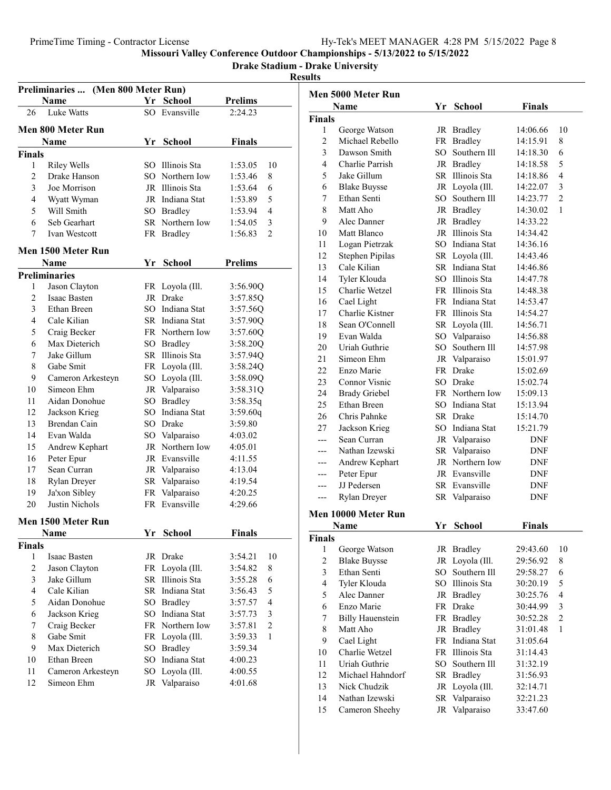#### Drake Stadium - Drake University

|                    | Preliminaries  (Men 800 Meter Run) |                       |                                |                |    |
|--------------------|------------------------------------|-----------------------|--------------------------------|----------------|----|
|                    | Name                               |                       | Yr School                      | <b>Prelims</b> |    |
| 26                 | <b>Luke Watts</b>                  |                       | SO Evansville                  | 2:24.23        |    |
|                    | Men 800 Meter Run                  |                       |                                |                |    |
|                    | Name                               | Yr                    | <b>School</b>                  | <b>Finals</b>  |    |
| Finals             |                                    |                       |                                |                |    |
| 1                  | Riley Wells                        |                       | SO Illinois Sta                | 1:53.05        | 10 |
| 2                  | Drake Hanson                       |                       | SO Northern Iow                | 1:53.46        | 8  |
| 3                  | Joe Morrison                       |                       | JR Illinois Sta                | 1:53.64        | 6  |
| 4                  | Wyatt Wyman                        |                       | JR Indiana Stat                | 1:53.89        | 5  |
| 5                  | Will Smith                         |                       | SO Bradley                     | 1:53.94        | 4  |
| 6                  | Seb Gearhart                       |                       | SR Northern Iow                | 1:54.05        | 3  |
| 7                  | Ivan Westcott                      |                       |                                | 1:56.83        | 2  |
|                    |                                    |                       | FR Bradley                     |                |    |
|                    | Men 1500 Meter Run                 |                       |                                |                |    |
|                    | <b>Name</b>                        |                       | Yr School                      | <b>Prelims</b> |    |
|                    | <b>Preliminaries</b>               |                       |                                |                |    |
| 1                  | Jason Clayton                      |                       | FR Loyola (Ill.                | 3:56.90Q       |    |
| 2                  | Isaac Basten                       |                       | JR Drake                       | 3:57.85Q       |    |
| 3                  | Ethan Breen                        |                       | SO Indiana Stat                | 3:57.56Q       |    |
| 4                  | Cale Kilian                        |                       | SR Indiana Stat                | 3:57.90Q       |    |
| 5                  | Craig Becker                       |                       | FR Northern Iow                | 3:57.60Q       |    |
| 6                  | Max Dieterich                      |                       | SO Bradley                     | 3:58.20Q       |    |
| 7                  | Jake Gillum                        |                       | SR Illinois Sta                | 3:57.94Q       |    |
| 8                  | Gabe Smit                          |                       | FR Loyola (Ill.                | 3:58.24Q       |    |
| 9                  | Cameron Arkesteyn                  |                       | SO Loyola (Ill.                | 3:58.09Q       |    |
| 10                 | Simeon Ehm                         |                       | JR Valparaiso                  | 3:58.31Q       |    |
| 11                 | Aidan Donohue                      |                       | SO Bradley                     | 3:58.35q       |    |
| 12                 | Jackson Krieg                      |                       | SO Indiana Stat                | 3:59.60q       |    |
| 13                 | Brendan Cain                       |                       | SO Drake                       | 3:59.80        |    |
| 14                 | Evan Walda                         |                       | SO Valparaiso                  | 4:03.02        |    |
| 15                 | Andrew Kephart                     |                       | JR Northern Iow                | 4:05.01        |    |
| 16                 | Peter Epur                         |                       | JR Evansville                  | 4:11.55        |    |
| 17                 | Sean Curran                        |                       | JR Valparaiso                  | 4:13.04        |    |
| 18                 | Rylan Dreyer                       |                       | SR Valparaiso                  | 4:19.54        |    |
| 19                 | Ja'xon Sibley                      |                       | FR Valparaiso                  | 4:20.25        |    |
| 20                 | Justin Nichols                     |                       | FR Evansville                  | 4:29.66        |    |
|                    |                                    |                       |                                |                |    |
|                    | Men 1500 Meter Run                 |                       |                                |                |    |
|                    | <b>Name</b>                        |                       | <u>Yr School</u>               | <b>Finals</b>  |    |
| <b>Finals</b><br>1 | Isaac Basten                       |                       | JR Drake                       | 3:54.21        | 10 |
| $\overline{c}$     | Jason Clayton                      |                       | FR Loyola (Ill.                | 3:54.82        | 8  |
| 3                  | Jake Gillum                        | SR                    | Illinois Sta                   |                | 6  |
| 4                  | Cale Kilian                        |                       | SR Indiana Stat                | 3:55.28        | 5  |
|                    |                                    |                       |                                | 3:56.43        |    |
| 5                  | Aidan Donohue                      | SO<br>SO <sub>1</sub> | <b>Bradley</b><br>Indiana Stat | 3:57.57        | 4  |
| 6                  | Jackson Krieg                      |                       | Northern Iow                   | 3:57.73        | 3  |
| 7                  | Craig Becker                       | FR                    |                                | 3:57.81        | 2  |
| 8                  | Gabe Smit<br>Max Dieterich         | FR<br>SO.             | Loyola (Ill.                   | 3:59.33        | 1  |
| 9                  |                                    |                       | <b>Bradley</b>                 | 3:59.34        |    |
| 10                 | Ethan Breen                        | SO                    | Indiana Stat                   | 4:00.23        |    |
| 11                 | Cameron Arkesteyn                  | SO                    | Loyola (Ill.                   | 4:00.55        |    |
| 12                 | Simeon Ehm                         | JR                    | Valparaiso                     | 4:01.68        |    |
|                    |                                    |                       |                                |                |    |

|                         | Men 5000 Meter Run      |    |                 |               |                |
|-------------------------|-------------------------|----|-----------------|---------------|----------------|
|                         | <b>Name</b>             |    | Yr School       | <b>Finals</b> |                |
| <b>Finals</b>           |                         |    |                 |               |                |
| 1                       | George Watson           |    | JR Bradley      | 14:06.66      | 10             |
| $\overline{c}$          | Michael Rebello         |    | FR Bradley      | 14:15.91      | 8              |
| 3                       | Dawson Smith            |    | SO Southern Ill | 14:18.30      | 6              |
| $\overline{4}$          | Charlie Parrish         |    | JR Bradley      | 14:18.58      | 5              |
| 5                       | Jake Gillum             |    | SR Illinois Sta | 14:18.86      | 4              |
| 6                       | <b>Blake Buysse</b>     |    | JR Loyola (Ill. | 14:22.07      | 3              |
| 7                       | Ethan Senti             |    | SO Southern Ill | 14:23.77      | $\overline{c}$ |
| 8                       | Matt Aho                |    | JR Bradley      | 14:30.02      | 1              |
| 9                       | Alec Danner             |    | JR Bradley      | 14:33.22      |                |
| 10                      | Matt Blanco             |    | JR Illinois Sta | 14:34.42      |                |
| 11                      | Logan Pietrzak          |    | SO Indiana Stat | 14:36.16      |                |
| 12                      | Stephen Pipilas         |    | SR Loyola (Ill. | 14:43.46      |                |
| 13                      | Cale Kilian             |    | SR Indiana Stat | 14:46.86      |                |
| 14                      | Tyler Klouda            |    | SO Illinois Sta | 14:47.78      |                |
| 15                      | Charlie Wetzel          |    | FR Illinois Sta | 14:48.38      |                |
| 16                      | Cael Light              |    | FR Indiana Stat | 14:53.47      |                |
| 17                      | Charlie Kistner         |    | FR Illinois Sta | 14:54.27      |                |
| 18                      | Sean O'Connell          |    | SR Loyola (Ill. | 14:56.71      |                |
| 19                      | Evan Walda              |    | SO Valparaiso   | 14:56.88      |                |
| 20                      | Uriah Guthrie           |    | SO Southern Ill | 14:57.98      |                |
| 21                      | Simeon Ehm              |    | JR Valparaiso   | 15:01.97      |                |
| 22                      | Enzo Marie              |    | FR Drake        | 15:02.69      |                |
| 23                      | Connor Visnic           |    | SO Drake        | 15:02.74      |                |
| 24                      | <b>Brady Griebel</b>    |    | FR Northern Iow | 15:09.13      |                |
| 25                      | Ethan Breen             |    | SO Indiana Stat | 15:13.94      |                |
| 26                      | Chris Pahnke            |    | SR Drake        | 15:14.70      |                |
| 27                      | Jackson Krieg           |    | SO Indiana Stat | 15:21.79      |                |
| ---                     | Sean Curran             |    | JR Valparaiso   | DNF           |                |
|                         | Nathan Izewski          |    | SR Valparaiso   | DNF           |                |
| ---                     |                         |    | JR Northern Iow |               |                |
| ---                     | Andrew Kephart          |    |                 | DNF           |                |
| ---                     | Peter Epur              |    | JR Evansville   | DNF           |                |
| ---                     | JJ Pedersen             |    | SR Evansville   | DNF           |                |
| ---                     | Rylan Dreyer            |    | SR Valparaiso   | <b>DNF</b>    |                |
|                         | Men 10000 Meter Run     |    |                 |               |                |
|                         | Name                    |    | Yr School       | <b>Finals</b> |                |
| <b>Finals</b>           |                         |    |                 |               |                |
| 1                       | George Watson           |    | JR Bradley      | 29:43.60      | 10             |
| $\overline{c}$          | <b>Blake Buysse</b>     |    | JR Loyola (Ill. | 29:56.92      | 8              |
| $\overline{\mathbf{3}}$ | Ethan Senti             |    | SO Southern Ill | 29:58.27      | 6              |
| $\overline{4}$          | Tyler Klouda            |    | SO Illinois Sta | 30:20.19      | 5              |
| 5                       | Alec Danner             |    | JR Bradley      | 30:25.76      | 4              |
| 6                       | Enzo Marie              |    | FR Drake        | 30:44.99      | 3              |
| 7                       | <b>Billy Hauenstein</b> |    | FR Bradley      | 30:52.28      | $\mathfrak{2}$ |
| 8                       | Matt Aho                |    | JR Bradley      | 31:01.48      | 1              |
| 9                       | Cael Light              |    | FR Indiana Stat | 31:05.64      |                |
| 10                      | Charlie Wetzel          |    | FR Illinois Sta | 31:14.43      |                |
| 11                      | Uriah Guthrie           | SO | Southern Ill    | 31:32.19      |                |
| 12                      | Michael Hahndorf        |    | SR Bradley      | 31:56.93      |                |
| 13                      | Nick Chudzik            |    | JR Loyola (Ill. | 32:14.71      |                |
| 14                      | Nathan Izewski          |    | SR Valparaiso   | 32:21.23      |                |
| 15                      | Cameron Sheehy          |    | JR Valparaiso   | 33:47.60      |                |
|                         |                         |    |                 |               |                |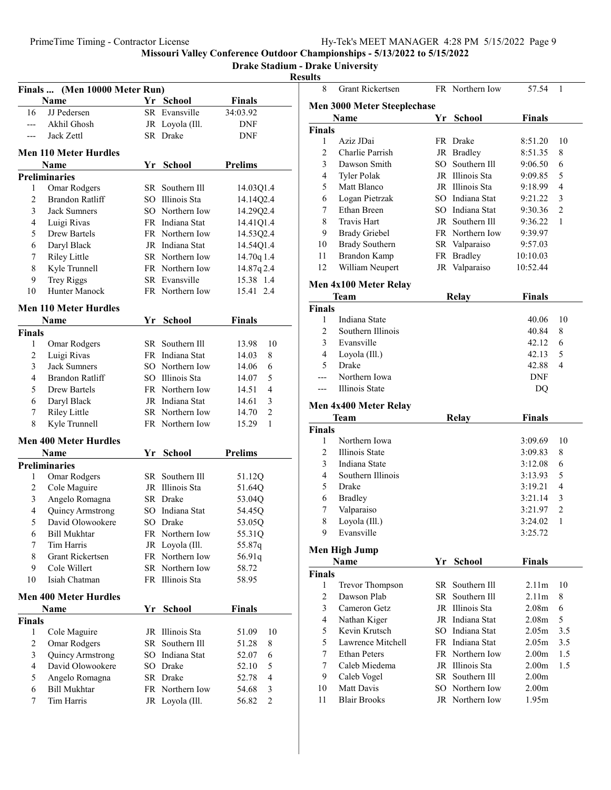# Drake Stadium - Drake University

| Finals  (Men 10000 Meter Run) |                              |    |                 |                         |  |
|-------------------------------|------------------------------|----|-----------------|-------------------------|--|
|                               | Name                         |    | Yr School       | <b>Finals</b>           |  |
| 16                            | JJ Pedersen                  |    | SR Evansville   | 34:03.92                |  |
| $---$                         | Akhil Ghosh                  |    | JR Loyola (Ill. | DNF                     |  |
|                               | Jack Zettl                   |    | SR Drake        | DNF                     |  |
|                               | <b>Men 110 Meter Hurdles</b> |    |                 |                         |  |
|                               | Name                         |    | Yr School       | <b>Prelims</b>          |  |
|                               | <b>Preliminaries</b>         |    |                 |                         |  |
| 1                             | Omar Rodgers                 |    | SR Southern Ill | 14.03Q1.4               |  |
| 2                             | <b>Brandon Ratliff</b>       |    | SO Illinois Sta | 14.14Q2.4               |  |
| 3                             | <b>Jack Sumners</b>          |    | SO Northern Iow | 14.29Q2.4               |  |
| 4                             | Luigi Rivas                  |    | FR Indiana Stat | 14.41Q1.4               |  |
| 5                             | Drew Bartels                 |    | FR Northern Iow | 14.53Q2.4               |  |
| 6                             | Daryl Black                  |    | JR Indiana Stat | 14.54Q1.4               |  |
| 7                             | <b>Riley Little</b>          |    | SR Northern Iow | 14.70q 1.4              |  |
| 8                             | Kyle Trunnell                |    | FR Northern Iow | 14.87q2.4               |  |
| 9                             | <b>Trey Riggs</b>            |    | SR Evansville   | 15.38 1.4               |  |
| 10                            | Hunter Manock                |    | FR Northern Iow | 15.41 2.4               |  |
|                               |                              |    |                 |                         |  |
|                               | <b>Men 110 Meter Hurdles</b> |    |                 |                         |  |
|                               | Name                         | Yr | <b>School</b>   | Finals                  |  |
| <b>Finals</b>                 |                              |    |                 |                         |  |
| 1                             | Omar Rodgers                 |    | SR Southern III | 13.98<br>10             |  |
| 2                             | Luigi Rivas                  |    | FR Indiana Stat | 8<br>14.03              |  |
| 3                             | <b>Jack Sumners</b>          |    | SO Northern Iow | 6<br>14.06              |  |
| 4                             | Brandon Ratliff              |    | SO Illinois Sta | 5<br>14.07              |  |
| 5                             | Drew Bartels                 |    | FR Northern Iow | 4<br>14.51              |  |
| 6                             | Daryl Black                  |    | JR Indiana Stat | 3<br>14.61              |  |
| 7                             | <b>Riley Little</b>          |    | SR Northern Iow | $\overline{c}$<br>14.70 |  |
| 8                             | Kyle Trunnell                |    | FR Northern Iow | 1<br>15.29              |  |
|                               | <b>Men 400 Meter Hurdles</b> |    |                 |                         |  |
|                               | Name                         | Yr | School          | <b>Prelims</b>          |  |
|                               | <b>Preliminaries</b>         |    |                 |                         |  |
| 1                             | <b>Omar Rodgers</b>          |    | SR Southern Ill | 51.12Q                  |  |
| 2                             | Cole Maguire                 |    | JR Illinois Sta | 51.64Q                  |  |
| 3                             | Angelo Romagna               |    | SR Drake        | 53.04Q                  |  |
| 4                             | Quincy Armstrong             |    | SO Indiana Stat | 54.45Q                  |  |
| 5                             | David Olowookere             |    | SO Drake        | 53.05Q                  |  |
| 6                             | <b>Bill Mukhtar</b>          |    | FR Northern Iow | 55.31Q                  |  |
| 7                             | Tim Harris                   |    | JR Loyola (Ill. | 55.87q                  |  |
| 8                             | <b>Grant Rickertsen</b>      |    | FR Northern Iow | 56.91q                  |  |
| 9                             | Cole Willert                 |    | SR Northern Iow | 58.72                   |  |
| 10                            | Isiah Chatman                |    | FR Illinois Sta | 58.95                   |  |
|                               | <b>Men 400 Meter Hurdles</b> |    |                 |                         |  |
|                               | <b>Name</b>                  | Yr | <b>School</b>   | <b>Finals</b>           |  |
| <b>Finals</b>                 |                              |    |                 |                         |  |
| 1                             | Cole Maguire                 |    | JR Illinois Sta | 51.09<br>10             |  |
| 2                             | <b>Omar Rodgers</b>          |    | SR Southern Ill | 8<br>51.28              |  |
| 3                             | Quincy Armstrong             |    | SO Indiana Stat | 6<br>52.07              |  |
| 4                             | David Olowookere             |    | SO Drake        | 5<br>52.10              |  |
| 5                             | Angelo Romagna               |    | SR Drake        | 4<br>52.78              |  |
| 6                             | <b>Bill Mukhtar</b>          |    | FR Northern Iow | 54.68<br>3              |  |
| 7                             | Tim Harris                   |    | JR Loyola (Ill. | $\overline{c}$<br>56.82 |  |
|                               |                              |    |                 |                         |  |

| 8              | <b>Grant Rickertsen</b>       |    | FR Northern Iow | 57.54             | 1              |
|----------------|-------------------------------|----|-----------------|-------------------|----------------|
|                | Men 3000 Meter Steeplechase   |    |                 |                   |                |
|                | Name                          | Yr | <b>School</b>   | <b>Finals</b>     |                |
| Finals         |                               |    |                 |                   |                |
| 1              | Aziz JDai                     |    | FR Drake        | 8:51.20           | 10             |
| $\overline{2}$ | Charlie Parrish               |    | JR Bradley      | 8:51.35           | 8              |
| 3              | Dawson Smith                  |    | SO Southern Ill | 9:06.50           | 6              |
| 4              | <b>Tyler Polak</b>            |    | JR Illinois Sta | 9:09.85           | 5              |
| 5              | Matt Blanco                   |    | JR Illinois Sta | 9:18.99           | 4              |
| 6              | Logan Pietrzak                |    | SO Indiana Stat | 9:21.22           | 3              |
| 7              | Ethan Breen                   |    | SO Indiana Stat | 9:30.36           | $\overline{2}$ |
| 8              | <b>Travis Hart</b>            |    | JR Southern Ill | 9:36.22           | 1              |
| 9              | <b>Brady Griebel</b>          |    | FR Northern Iow | 9:39.97           |                |
| 10             | <b>Brady Southern</b>         |    | SR Valparaiso   | 9:57.03           |                |
| 11             | <b>Brandon Kamp</b>           |    | FR Bradley      | 10:10.03          |                |
| 12             | William Neupert               |    | JR Valparaiso   | 10:52.44          |                |
|                |                               |    |                 |                   |                |
|                | Men 4x100 Meter Relay<br>Team |    | <b>Relay</b>    | <b>Finals</b>     |                |
| Finals         |                               |    |                 |                   |                |
| 1              | Indiana State                 |    |                 | 40.06             | 10             |
| $\mathfrak{2}$ | Southern Illinois             |    |                 | 40.84             | 8              |
| 3              | Evansville                    |    |                 | 42.12             | 6              |
| 4              | Loyola (Ill.)                 |    |                 | 42.13             | 5              |
| 5              | Drake                         |    |                 | 42.88             | 4              |
| ---            | Northern Iowa                 |    |                 | DNF               |                |
| ---            | Illinois State                |    |                 | DQ                |                |
|                |                               |    |                 |                   |                |
|                | Men 4x400 Meter Relay<br>Team |    |                 |                   |                |
| Finals         |                               |    | <b>Relay</b>    | <b>Finals</b>     |                |
|                |                               |    |                 |                   |                |
|                |                               |    |                 |                   |                |
| 1              | Northern Iowa                 |    |                 | 3:09.69           | 10             |
| 2              | Illinois State                |    |                 | 3:09.83           | 8              |
| 3              | Indiana State                 |    |                 | 3:12.08           | 6              |
| 4              | Southern Illinois             |    |                 | 3:13.93           | 5              |
| 5              | Drake                         |    |                 | 3:19.21           | 4              |
| 6              | <b>Bradley</b>                |    |                 | 3:21.14           | 3              |
| 7              | Valparaiso                    |    |                 | 3:21.97           | 2              |
| 8              | Loyola (Ill.)                 |    |                 | 3:24.02           | 1              |
| 9              | Evansville                    |    |                 | 3:25.72           |                |
|                | Men High Jump                 |    |                 |                   |                |
|                | Name                          | Yr | <b>School</b>   | <b>Finals</b>     |                |
| Finals         |                               |    |                 |                   |                |
| 1              | Trevor Thompson               |    | SR Southern Ill | 2.11 <sub>m</sub> | 10             |
| $\overline{c}$ | Dawson Plab                   |    | SR Southern Ill | 2.11 <sub>m</sub> | 8              |
| 3              | Cameron Getz                  |    | JR Illinois Sta | 2.08 <sub>m</sub> | 6              |
| $\overline{4}$ | Nathan Kiger                  |    | JR Indiana Stat | 2.08m             | 5              |
| 5              | Kevin Krutsch                 |    | SO Indiana Stat | 2.05 <sub>m</sub> | 3.5            |
| 5              | Lawrence Mitchell             |    | FR Indiana Stat | 2.05 <sub>m</sub> | 3.5            |
| 7              | <b>Ethan Peters</b>           |    | FR Northern Iow | 2.00 <sub>m</sub> | 1.5            |
| 7              | Caleb Miedema                 |    | JR Illinois Sta | 2.00 <sub>m</sub> | 1.5            |
| 9              | Caleb Vogel                   |    | SR Southern Ill | 2.00 <sub>m</sub> |                |
| 10             | Matt Davis                    |    | SO Northern Iow | 2.00 <sub>m</sub> |                |
| 11             | <b>Blair Brooks</b>           |    | JR Northern Iow | 1.95m             |                |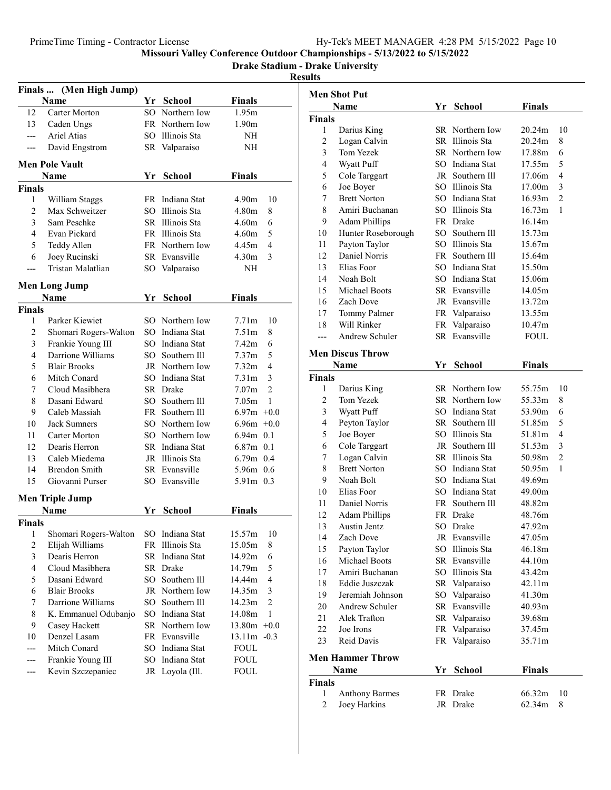Drake Stadium - Drake University

|                         | Finals  (Men High Jump)                 |    |                 |                   |                |
|-------------------------|-----------------------------------------|----|-----------------|-------------------|----------------|
|                         | <b>Name</b>                             |    | Yr School       | <b>Finals</b>     |                |
| 12                      | <b>Carter Morton</b>                    |    | SO Northern Iow | 1.95m             |                |
| 13                      | Caden Ungs                              |    | FR Northern Iow | 1.90m             |                |
| $---$                   | Ariel Atias                             |    | SO Illinois Sta | NH                |                |
| ---                     | David Engstrom                          |    | SR Valparaiso   | NH                |                |
|                         | <b>Men Pole Vault</b>                   |    |                 |                   |                |
|                         | Name                                    |    | Yr School       | <b>Finals</b>     |                |
| <b>Finals</b>           |                                         |    |                 |                   |                |
| 1                       | William Staggs                          |    | FR Indiana Stat | 4.90m             | 10             |
| $\overline{c}$          | Max Schweitzer                          |    | SO Illinois Sta | 4.80 <sub>m</sub> | 8              |
| 3                       | Sam Peschke                             |    | SR Illinois Sta | 4.60 <sub>m</sub> | 6              |
| 4                       | Evan Pickard                            |    | FR Illinois Sta | 4.60m             | 5              |
| 5                       | Teddy Allen                             |    | FR Northern Iow | 4.45m             | 4              |
| 6                       | Joey Rucinski                           |    | SR Evansville   | 4.30 <sub>m</sub> | 3              |
| ---                     | Tristan Malatlian                       |    | SO Valparaiso   | NH                |                |
|                         | <b>Men Long Jump</b>                    |    |                 |                   |                |
|                         | Name                                    |    | Yr School       | <b>Finals</b>     |                |
| <b>Finals</b>           |                                         |    |                 |                   |                |
| 1                       | Parker Kiewiet                          |    | SO Northern Iow | 7.71m             | 10             |
| $\overline{c}$          | Shomari Rogers-Walton                   |    | SO Indiana Stat | 7.51 <sub>m</sub> | 8              |
| 3                       | Frankie Young III                       |    | SO Indiana Stat | 7.42m             | 6              |
| 4                       | Darrione Williams                       |    | SO Southern Ill | 7.37 <sub>m</sub> | 5              |
| 5                       | <b>Blair Brooks</b>                     |    | JR Northern Iow | 7.32m             | 4              |
| 6                       | Mitch Conard                            |    | SO Indiana Stat | 7.31 <sub>m</sub> | 3              |
| 7                       | Cloud Masibhera                         |    | SR Drake        | 7.07m             | $\overline{2}$ |
| 8                       | Dasani Edward                           |    | SO Southern Ill | 7.05m             | 1              |
| 9                       | Caleb Massiah                           |    | FR Southern Ill | $6.97m +0.0$      |                |
| 10                      | Jack Sumners                            |    | SO Northern Iow | $6.96m +0.0$      |                |
| 11                      | Carter Morton                           |    | SO Northern Iow | $6.94m$ 0.1       |                |
| 12                      | Dearis Herron                           |    | SR Indiana Stat | $6.87m$ 0.1       |                |
| 13                      | Caleb Miedema                           |    | JR Illinois Sta | $6.79m$ 0.4       |                |
| 14                      | Brendon Smith                           |    | SR Evansville   | 5.96m 0.6         |                |
| 15                      | Giovanni Purser                         |    | SO Evansville   | 5.91m 0.3         |                |
|                         | <b>Men Triple Jump</b>                  |    |                 |                   |                |
|                         | Name                                    | Yr | <b>School</b>   | Finals            |                |
| Finals                  |                                         |    |                 |                   |                |
|                         | 1 Shomari Rogers-Walton SO Indiana Stat |    |                 | 15.57m            | 10             |
| $\overline{\mathbf{c}}$ | Elijah Williams                         |    | FR Illinois Sta | 15.05m            | 8              |
| 3                       | Dearis Herron                           |    | SR Indiana Stat | 14.92m            | 6              |
| 4                       | Cloud Masibhera                         |    | SR Drake        | 14.79m            | 5              |
| 5                       | Dasani Edward                           |    | SO Southern Ill | 14.44m            | 4              |
| 6                       | <b>Blair Brooks</b>                     |    | JR Northern Iow | 14.35m            | 3              |
| 7                       | Darrione Williams                       |    | SO Southern Ill | 14.23m            | $\overline{c}$ |
| 8                       | K. Emmanuel Odubanjo                    |    | SO Indiana Stat | 14.08m            | 1              |
| 9                       | Casey Hackett                           |    | SR Northern Iow | 13.80m            | $+0.0$         |
| 10                      | Denzel Lasam                            |    | FR Evansville   | 13.11m -0.3       |                |
|                         | Mitch Conard                            |    | SO Indiana Stat | <b>FOUL</b>       |                |
| ---                     | Frankie Young III                       | SO | Indiana Stat    | <b>FOUL</b>       |                |
| ---                     | Kevin Szczepaniec                       |    | JR Loyola (Ill. | <b>FOUL</b>       |                |

|               | <b>Men Shot Put</b>     |    |                 |               |                |
|---------------|-------------------------|----|-----------------|---------------|----------------|
|               | Name                    |    | Yr School       | <b>Finals</b> |                |
| Finals        |                         |    |                 |               |                |
| 1             | Darius King             |    | SR Northern Iow | 20.24m        | 10             |
| 2             | Logan Calvin            |    | SR Illinois Sta | 20.24m        | 8              |
| 3             | Tom Yezek               |    | SR Northern Iow | 17.88m        | 6              |
| 4             | Wyatt Puff              |    | SO Indiana Stat | 17.55m        | 5              |
| 5             | Cole Targgart           |    | JR Southern Ill | 17.06m        | 4              |
| 6             | Joe Boyer               |    | SO Illinois Sta | 17.00m        | 3              |
| 7             | <b>Brett Norton</b>     |    | SO Indiana Stat | 16.93m        | $\overline{c}$ |
| 8             | Amiri Buchanan          |    | SO Illinois Sta | 16.73m        | 1              |
| 9             | <b>Adam Phillips</b>    |    | FR Drake        | 16.14m        |                |
| 10            | Hunter Roseborough      |    | SO Southern Ill | 15.73m        |                |
| 11            | Payton Taylor           |    | SO Illinois Sta | 15.67m        |                |
| 12            | Daniel Norris           |    | FR Southern Ill | 15.64m        |                |
| 13            | Elias Foor              |    | SO Indiana Stat | 15.50m        |                |
| 14            | Noah Bolt               |    | SO Indiana Stat | 15.06m        |                |
| 15            | Michael Boots           |    | SR Evansville   | 14.05m        |                |
| 16            | Zach Dove               |    | JR Evansville   | 13.72m        |                |
| 17            | Tommy Palmer            |    | FR Valparaiso   | 13.55m        |                |
| 18            | Will Rinker             |    | FR Valparaiso   | 10.47m        |                |
| ---           | <b>Andrew Schuler</b>   |    | SR Evansville   | FOUL          |                |
|               |                         |    |                 |               |                |
|               | <b>Men Discus Throw</b> |    |                 |               |                |
|               | Name                    | Yr | <b>School</b>   | <b>Finals</b> |                |
| <b>Finals</b> |                         |    |                 |               |                |
| 1             | Darius King             |    | SR Northern Iow | 55.75m        | 10             |
| 2             | Tom Yezek               |    | SR Northern Iow | 55.33m        | 8              |
| 3             | Wyatt Puff              |    | SO Indiana Stat | 53.90m        | 6              |
| 4             | Peyton Taylor           |    | SR Southern Ill | 51.85m        | 5              |
| 5             | Joe Boyer               |    | SO Illinois Sta | 51.81m        | 4              |
| 6             | Cole Targgart           |    | JR Southern Ill | 51.53m        | 3              |
| 7             | Logan Calvin            |    | SR Illinois Sta | 50.98m        | $\overline{2}$ |
| 8             | <b>Brett Norton</b>     |    | SO Indiana Stat | 50.95m        | 1              |
| 9             | Noah Bolt               |    | SO Indiana Stat | 49.69m        |                |
| 10            | Elias Foor              |    | SO Indiana Stat | 49.00m        |                |
| 11            | Daniel Norris           |    | FR Southern Ill | 48.82m        |                |
| 12            | <b>Adam Phillips</b>    |    | FR Drake        | 48.76m        |                |
| 13            | Austin Jentz            | SO | Drake           | 47.92m        |                |
| 14            | Zach Dove               |    | JR Evansville   | 47.05m        |                |
| 15            | Payton Taylor           |    | SO Illinois Sta | 46.18m        |                |
| 16            | Michael Boots           |    | SR Evansville   | 44.10m        |                |
| 17            | Amiri Buchanan          |    | SO Illinois Sta | 43.42m        |                |
| 18            | Eddie Juszczak          |    | SR Valparaiso   | 42.11m        |                |
| 19            | Jeremiah Johnson        |    | SO Valparaiso   | 41.30m        |                |
| 20            | Andrew Schuler          |    | SR Evansville   | 40.93m        |                |
| 21            | Alek Trafton            |    | SR Valparaiso   | 39.68m        |                |
| 22            | Joe Irons               |    | FR Valparaiso   | 37.45m        |                |
| 23            | Reid Davis              |    | FR Valparaiso   | 35.71m        |                |
|               | <b>Men Hammer Throw</b> |    |                 |               |                |
|               |                         |    |                 |               |                |
|               | Name                    | Yr | School          | <b>Finals</b> |                |
| <b>Finals</b> |                         |    |                 |               |                |
| 1             | <b>Anthony Barmes</b>   |    | FR Drake        | 66.32m        | 10             |
| 2             | Joey Harkins            |    | JR Drake        | 62.34m        | 8              |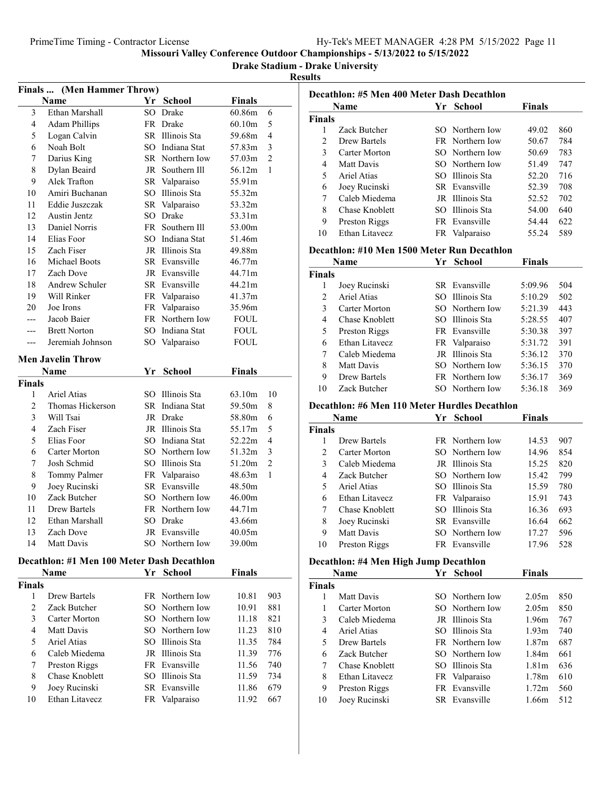Drake Stadium - Drake University

|                | Finals  (Men Hammer Throw)                 |    |                 |               |                |
|----------------|--------------------------------------------|----|-----------------|---------------|----------------|
|                | Name                                       |    | Yr School       | <b>Finals</b> |                |
| 3              | Ethan Marshall                             |    | SO Drake        | 60.86m        | 6              |
| 4              | <b>Adam Phillips</b>                       |    | FR Drake        | 60.10m        | 5              |
| 5              | Logan Calvin                               |    | SR Illinois Sta | 59.68m        | 4              |
| 6              | Noah Bolt                                  |    | SO Indiana Stat | 57.83m        | 3              |
| 7              | Darius King                                |    | SR Northern Iow | 57.03m        | $\overline{2}$ |
| 8              | Dylan Beaird                               |    | JR Southern Ill | 56.12m        | 1              |
| 9              | Alek Trafton                               |    | SR Valparaiso   | 55.91m        |                |
| 10             | Amiri Buchanan                             |    | SO Illinois Sta | 55.32m        |                |
| 11             | Eddie Juszczak                             |    | SR Valparaiso   | 53.32m        |                |
| 12             | <b>Austin Jentz</b>                        |    | SO Drake        | 53.31m        |                |
| 13             | Daniel Norris                              |    | FR Southern Ill | 53.00m        |                |
| 14             | Elias Foor                                 |    | SO Indiana Stat | 51.46m        |                |
| 15             | Zach Fiser                                 |    | JR Illinois Sta | 49.88m        |                |
| 16             | Michael Boots                              |    | SR Evansville   | 46.77m        |                |
| 17             | Zach Dove                                  |    | JR Evansville   | 44.71m        |                |
| 18             | Andrew Schuler                             |    | SR Evansville   | 44.21m        |                |
| 19             | Will Rinker                                |    | FR Valparaiso   | 41.37m        |                |
| 20             | Joe Irons                                  |    | FR Valparaiso   | 35.96m        |                |
| ---            | Jacob Baier                                |    | FR Northern Iow | <b>FOUL</b>   |                |
| ---            | <b>Brett Norton</b>                        |    | SO Indiana Stat | <b>FOUL</b>   |                |
| ---            | Jeremiah Johnson                           |    | SO Valparaiso   | FOUL          |                |
|                | <b>Men Javelin Throw</b>                   |    |                 |               |                |
|                | Name                                       | Yr | <b>School</b>   | <b>Finals</b> |                |
| <b>Finals</b>  |                                            |    |                 |               |                |
| 1              | Ariel Atias                                |    | SO Illinois Sta | 63.10m        | 10             |
| 2              | Thomas Hickerson                           |    | SR Indiana Stat | 59.50m        | 8              |
| 3              | Will Tsai                                  |    | JR Drake        | 58.80m        | 6              |
| 4              | Zach Fiser                                 |    | JR Illinois Sta | 55.17m        | 5              |
| 5              | Elias Foor                                 |    | SO Indiana Stat | 52.22m        | 4              |
| 6              | Carter Morton                              |    | SO Northern Iow | 51.32m        | 3              |
| 7              | Josh Schmid                                |    | SO Illinois Sta | 51.20m        | 2              |
| 8              | Tommy Palmer                               |    | FR Valparaiso   | 48.63m        | 1              |
| 9              | Joey Rucinski                              |    | SR Evansville   | 48.50m        |                |
| 10             | Zack Butcher                               |    | SO Northern Iow | 46.00m        |                |
| 11             | Drew Bartels                               |    | FR Northern Iow | 44.71m        |                |
| 12             | Ethan Marshall                             |    | SO Drake        | 43.66m        |                |
| 13             | Zach Dove                                  |    | JR Evansville   | 40.05m        |                |
| 14             | Matt Davis                                 |    | SO Northern Iow | 39.00m        |                |
|                | Decathlon: #1 Men 100 Meter Dash Decathlon |    |                 |               |                |
|                | Name                                       | Yr | <b>School</b>   | <b>Finals</b> |                |
| <b>Finals</b>  |                                            |    |                 |               |                |
| 1              | Drew Bartels                               |    | FR Northern Iow | 10.81         | 903            |
| $\overline{c}$ | Zack Butcher                               |    | SO Northern Iow | 10.91         | 881            |
| 3              | Carter Morton                              |    | SO Northern Iow | 11.18         | 821            |
| 4              | Matt Davis                                 |    | SO Northern Iow | 11.23         | 810            |
| 5              | Ariel Atias                                |    | SO Illinois Sta | 11.35         | 784            |
| 6              | Caleb Miedema                              |    | JR Illinois Sta | 11.39         | 776            |
| 7              | Preston Riggs                              |    | FR Evansville   | 11.56         | 740            |
| 8              | Chase Knoblett                             |    | SO Illinois Sta | 11.59         | 734            |
| 9              | Joey Rucinski                              |    | SR Evansville   | 11.86         | 679            |
| 10             | Ethan Litavecz                             |    | FR Valparaiso   | 11.92         | 667            |
|                |                                            |    |                 |               |                |

| Yr School<br><b>Finals</b><br>Name<br><b>Finals</b><br>Zack Butcher<br>SO Northern Iow<br>49.02<br>860<br>1<br>$\overline{2}$<br>Drew Bartels<br>FR Northern Iow<br>50.67<br>784<br>3<br>Carter Morton<br>SO Northern Iow<br>50.69<br>783<br>$\overline{4}$<br>Matt Davis<br>SO Northern Iow<br>51.49<br>747<br>5<br>Ariel Atias<br>SO Illinois Sta<br>52.20<br>716<br>6<br>Joey Rucinski<br>SR Evansville<br>52.39<br>708<br>7<br>Caleb Miedema<br>JR Illinois Sta<br>52.52<br>702<br>Chase Knoblett<br>SO Illinois Sta<br>8<br>54.00<br>640<br>9<br>Preston Riggs<br>FR Evansville<br>54.44<br>622<br>10<br>Ethan Litavecz<br>589<br>FR Valparaiso<br>55.24<br>Decathlon: #10 Men 1500 Meter Run Decathlon<br><b>School</b><br><b>Finals</b><br>Name<br>Yr<br>Finals<br>SR Evansville<br>5:09.96<br>504<br>1<br>Joey Rucinski<br>$\overline{2}$<br>Ariel Atias<br>SO Illinois Sta<br>502<br>5:10.29<br>3<br>Carter Morton<br>SO Northern Iow<br>5:21.39<br>443<br>$\overline{4}$<br>Chase Knoblett<br>SO Illinois Sta<br>5:28.55<br>407<br>5<br>Preston Riggs<br>FR Evansville<br>5:30.38<br>397<br>6<br>Ethan Litavecz<br>Valparaiso<br>391<br>FR<br>5:31.72<br>7<br>Caleb Miedema<br>JR Illinois Sta<br>5:36.12<br>370<br>8<br>Matt Davis<br>SO Northern Iow<br>5:36.15<br>370<br>9<br>Drew Bartels<br>FR Northern Iow<br>5:36.17<br>369<br>SO Northern Iow<br>10<br>Zack Butcher<br>5:36.18<br>369<br>Decathlon: #6 Men 110 Meter Hurdles Decathlon<br>Yr<br><b>School</b><br><b>Finals</b><br>Name<br>Finals<br>1<br>Drew Bartels<br>FR Northern Iow<br>907<br>14.53<br>$\overline{2}$<br>Carter Morton<br>SO Northern Iow<br>14.96<br>854<br>3<br>Caleb Miedema<br>JR Illinois Sta<br>820<br>15.25<br>$\overline{4}$<br>Zack Butcher<br>SO Northern Iow<br>15.42<br>799<br>5<br><b>Ariel Atias</b><br>SO Illinois Sta<br>15.59<br>780<br>6<br>Ethan Litavecz<br>FR Valparaiso<br>743<br>15.91<br>SO Illinois Sta<br>7<br>Chase Knoblett<br>16.36<br>693<br>8<br>Joey Rucinski<br>SR Evansville<br>16.64<br>662<br>9<br>Matt Davis<br>SO Northern Iow<br>17.27<br>596<br>FR Evansville<br>10<br>Preston Riggs<br>17.96<br>528<br>Decathlon: #4 Men High Jump Decathlon<br>Yr School<br><b>Finals</b><br>Name<br>Finals<br>Matt Davis<br>850<br>1<br>SO Northern Iow<br>2.05m<br>1<br>Carter Morton<br>SO.<br>Northern Iow<br>2.05m<br>850<br>3<br>Caleb Miedema<br>JR Illinois Sta<br>1.96m<br>767<br>SO Illinois Sta<br>4<br>Ariel Atias<br>1.93 <sub>m</sub><br>740<br>5<br>FR Northern Iow<br>Drew Bartels<br>1.87 <sub>m</sub><br>687<br>6<br>Zack Butcher<br>SO Northern Iow<br>1.84m<br>661<br>7<br>SO<br>Illinois Sta<br>636<br>Chase Knoblett<br>1.81 <sub>m</sub><br>8<br>Ethan Litavecz<br>610<br>FR<br>Valparaiso<br>1.78m<br>Evansville<br>9<br>560<br>Preston Riggs<br>FR<br>1.72m<br>10<br>SR Evansville<br>512<br>1.66m | Decathlon: #5 Men 400 Meter Dash Decathlon |  |  |
|----------------------------------------------------------------------------------------------------------------------------------------------------------------------------------------------------------------------------------------------------------------------------------------------------------------------------------------------------------------------------------------------------------------------------------------------------------------------------------------------------------------------------------------------------------------------------------------------------------------------------------------------------------------------------------------------------------------------------------------------------------------------------------------------------------------------------------------------------------------------------------------------------------------------------------------------------------------------------------------------------------------------------------------------------------------------------------------------------------------------------------------------------------------------------------------------------------------------------------------------------------------------------------------------------------------------------------------------------------------------------------------------------------------------------------------------------------------------------------------------------------------------------------------------------------------------------------------------------------------------------------------------------------------------------------------------------------------------------------------------------------------------------------------------------------------------------------------------------------------------------------------------------------------------------------------------------------------------------------------------------------------------------------------------------------------------------------------------------------------------------------------------------------------------------------------------------------------------------------------------------------------------------------------------------------------------------------------------------------------------------------------------------------------------------------------------------------------------------------------------------------------------------------------------------------------------------------------------------------------------------------------------------------------------------------------------------------------------------------------------------------------------------------------------------------------------------------------------|--------------------------------------------|--|--|
|                                                                                                                                                                                                                                                                                                                                                                                                                                                                                                                                                                                                                                                                                                                                                                                                                                                                                                                                                                                                                                                                                                                                                                                                                                                                                                                                                                                                                                                                                                                                                                                                                                                                                                                                                                                                                                                                                                                                                                                                                                                                                                                                                                                                                                                                                                                                                                                                                                                                                                                                                                                                                                                                                                                                                                                                                                              |                                            |  |  |
|                                                                                                                                                                                                                                                                                                                                                                                                                                                                                                                                                                                                                                                                                                                                                                                                                                                                                                                                                                                                                                                                                                                                                                                                                                                                                                                                                                                                                                                                                                                                                                                                                                                                                                                                                                                                                                                                                                                                                                                                                                                                                                                                                                                                                                                                                                                                                                                                                                                                                                                                                                                                                                                                                                                                                                                                                                              |                                            |  |  |
|                                                                                                                                                                                                                                                                                                                                                                                                                                                                                                                                                                                                                                                                                                                                                                                                                                                                                                                                                                                                                                                                                                                                                                                                                                                                                                                                                                                                                                                                                                                                                                                                                                                                                                                                                                                                                                                                                                                                                                                                                                                                                                                                                                                                                                                                                                                                                                                                                                                                                                                                                                                                                                                                                                                                                                                                                                              |                                            |  |  |
|                                                                                                                                                                                                                                                                                                                                                                                                                                                                                                                                                                                                                                                                                                                                                                                                                                                                                                                                                                                                                                                                                                                                                                                                                                                                                                                                                                                                                                                                                                                                                                                                                                                                                                                                                                                                                                                                                                                                                                                                                                                                                                                                                                                                                                                                                                                                                                                                                                                                                                                                                                                                                                                                                                                                                                                                                                              |                                            |  |  |
|                                                                                                                                                                                                                                                                                                                                                                                                                                                                                                                                                                                                                                                                                                                                                                                                                                                                                                                                                                                                                                                                                                                                                                                                                                                                                                                                                                                                                                                                                                                                                                                                                                                                                                                                                                                                                                                                                                                                                                                                                                                                                                                                                                                                                                                                                                                                                                                                                                                                                                                                                                                                                                                                                                                                                                                                                                              |                                            |  |  |
|                                                                                                                                                                                                                                                                                                                                                                                                                                                                                                                                                                                                                                                                                                                                                                                                                                                                                                                                                                                                                                                                                                                                                                                                                                                                                                                                                                                                                                                                                                                                                                                                                                                                                                                                                                                                                                                                                                                                                                                                                                                                                                                                                                                                                                                                                                                                                                                                                                                                                                                                                                                                                                                                                                                                                                                                                                              |                                            |  |  |
|                                                                                                                                                                                                                                                                                                                                                                                                                                                                                                                                                                                                                                                                                                                                                                                                                                                                                                                                                                                                                                                                                                                                                                                                                                                                                                                                                                                                                                                                                                                                                                                                                                                                                                                                                                                                                                                                                                                                                                                                                                                                                                                                                                                                                                                                                                                                                                                                                                                                                                                                                                                                                                                                                                                                                                                                                                              |                                            |  |  |
|                                                                                                                                                                                                                                                                                                                                                                                                                                                                                                                                                                                                                                                                                                                                                                                                                                                                                                                                                                                                                                                                                                                                                                                                                                                                                                                                                                                                                                                                                                                                                                                                                                                                                                                                                                                                                                                                                                                                                                                                                                                                                                                                                                                                                                                                                                                                                                                                                                                                                                                                                                                                                                                                                                                                                                                                                                              |                                            |  |  |
|                                                                                                                                                                                                                                                                                                                                                                                                                                                                                                                                                                                                                                                                                                                                                                                                                                                                                                                                                                                                                                                                                                                                                                                                                                                                                                                                                                                                                                                                                                                                                                                                                                                                                                                                                                                                                                                                                                                                                                                                                                                                                                                                                                                                                                                                                                                                                                                                                                                                                                                                                                                                                                                                                                                                                                                                                                              |                                            |  |  |
|                                                                                                                                                                                                                                                                                                                                                                                                                                                                                                                                                                                                                                                                                                                                                                                                                                                                                                                                                                                                                                                                                                                                                                                                                                                                                                                                                                                                                                                                                                                                                                                                                                                                                                                                                                                                                                                                                                                                                                                                                                                                                                                                                                                                                                                                                                                                                                                                                                                                                                                                                                                                                                                                                                                                                                                                                                              |                                            |  |  |
|                                                                                                                                                                                                                                                                                                                                                                                                                                                                                                                                                                                                                                                                                                                                                                                                                                                                                                                                                                                                                                                                                                                                                                                                                                                                                                                                                                                                                                                                                                                                                                                                                                                                                                                                                                                                                                                                                                                                                                                                                                                                                                                                                                                                                                                                                                                                                                                                                                                                                                                                                                                                                                                                                                                                                                                                                                              |                                            |  |  |
|                                                                                                                                                                                                                                                                                                                                                                                                                                                                                                                                                                                                                                                                                                                                                                                                                                                                                                                                                                                                                                                                                                                                                                                                                                                                                                                                                                                                                                                                                                                                                                                                                                                                                                                                                                                                                                                                                                                                                                                                                                                                                                                                                                                                                                                                                                                                                                                                                                                                                                                                                                                                                                                                                                                                                                                                                                              |                                            |  |  |
|                                                                                                                                                                                                                                                                                                                                                                                                                                                                                                                                                                                                                                                                                                                                                                                                                                                                                                                                                                                                                                                                                                                                                                                                                                                                                                                                                                                                                                                                                                                                                                                                                                                                                                                                                                                                                                                                                                                                                                                                                                                                                                                                                                                                                                                                                                                                                                                                                                                                                                                                                                                                                                                                                                                                                                                                                                              |                                            |  |  |
|                                                                                                                                                                                                                                                                                                                                                                                                                                                                                                                                                                                                                                                                                                                                                                                                                                                                                                                                                                                                                                                                                                                                                                                                                                                                                                                                                                                                                                                                                                                                                                                                                                                                                                                                                                                                                                                                                                                                                                                                                                                                                                                                                                                                                                                                                                                                                                                                                                                                                                                                                                                                                                                                                                                                                                                                                                              |                                            |  |  |
|                                                                                                                                                                                                                                                                                                                                                                                                                                                                                                                                                                                                                                                                                                                                                                                                                                                                                                                                                                                                                                                                                                                                                                                                                                                                                                                                                                                                                                                                                                                                                                                                                                                                                                                                                                                                                                                                                                                                                                                                                                                                                                                                                                                                                                                                                                                                                                                                                                                                                                                                                                                                                                                                                                                                                                                                                                              |                                            |  |  |
|                                                                                                                                                                                                                                                                                                                                                                                                                                                                                                                                                                                                                                                                                                                                                                                                                                                                                                                                                                                                                                                                                                                                                                                                                                                                                                                                                                                                                                                                                                                                                                                                                                                                                                                                                                                                                                                                                                                                                                                                                                                                                                                                                                                                                                                                                                                                                                                                                                                                                                                                                                                                                                                                                                                                                                                                                                              |                                            |  |  |
|                                                                                                                                                                                                                                                                                                                                                                                                                                                                                                                                                                                                                                                                                                                                                                                                                                                                                                                                                                                                                                                                                                                                                                                                                                                                                                                                                                                                                                                                                                                                                                                                                                                                                                                                                                                                                                                                                                                                                                                                                                                                                                                                                                                                                                                                                                                                                                                                                                                                                                                                                                                                                                                                                                                                                                                                                                              |                                            |  |  |
|                                                                                                                                                                                                                                                                                                                                                                                                                                                                                                                                                                                                                                                                                                                                                                                                                                                                                                                                                                                                                                                                                                                                                                                                                                                                                                                                                                                                                                                                                                                                                                                                                                                                                                                                                                                                                                                                                                                                                                                                                                                                                                                                                                                                                                                                                                                                                                                                                                                                                                                                                                                                                                                                                                                                                                                                                                              |                                            |  |  |
|                                                                                                                                                                                                                                                                                                                                                                                                                                                                                                                                                                                                                                                                                                                                                                                                                                                                                                                                                                                                                                                                                                                                                                                                                                                                                                                                                                                                                                                                                                                                                                                                                                                                                                                                                                                                                                                                                                                                                                                                                                                                                                                                                                                                                                                                                                                                                                                                                                                                                                                                                                                                                                                                                                                                                                                                                                              |                                            |  |  |
|                                                                                                                                                                                                                                                                                                                                                                                                                                                                                                                                                                                                                                                                                                                                                                                                                                                                                                                                                                                                                                                                                                                                                                                                                                                                                                                                                                                                                                                                                                                                                                                                                                                                                                                                                                                                                                                                                                                                                                                                                                                                                                                                                                                                                                                                                                                                                                                                                                                                                                                                                                                                                                                                                                                                                                                                                                              |                                            |  |  |
|                                                                                                                                                                                                                                                                                                                                                                                                                                                                                                                                                                                                                                                                                                                                                                                                                                                                                                                                                                                                                                                                                                                                                                                                                                                                                                                                                                                                                                                                                                                                                                                                                                                                                                                                                                                                                                                                                                                                                                                                                                                                                                                                                                                                                                                                                                                                                                                                                                                                                                                                                                                                                                                                                                                                                                                                                                              |                                            |  |  |
|                                                                                                                                                                                                                                                                                                                                                                                                                                                                                                                                                                                                                                                                                                                                                                                                                                                                                                                                                                                                                                                                                                                                                                                                                                                                                                                                                                                                                                                                                                                                                                                                                                                                                                                                                                                                                                                                                                                                                                                                                                                                                                                                                                                                                                                                                                                                                                                                                                                                                                                                                                                                                                                                                                                                                                                                                                              |                                            |  |  |
|                                                                                                                                                                                                                                                                                                                                                                                                                                                                                                                                                                                                                                                                                                                                                                                                                                                                                                                                                                                                                                                                                                                                                                                                                                                                                                                                                                                                                                                                                                                                                                                                                                                                                                                                                                                                                                                                                                                                                                                                                                                                                                                                                                                                                                                                                                                                                                                                                                                                                                                                                                                                                                                                                                                                                                                                                                              |                                            |  |  |
|                                                                                                                                                                                                                                                                                                                                                                                                                                                                                                                                                                                                                                                                                                                                                                                                                                                                                                                                                                                                                                                                                                                                                                                                                                                                                                                                                                                                                                                                                                                                                                                                                                                                                                                                                                                                                                                                                                                                                                                                                                                                                                                                                                                                                                                                                                                                                                                                                                                                                                                                                                                                                                                                                                                                                                                                                                              |                                            |  |  |
|                                                                                                                                                                                                                                                                                                                                                                                                                                                                                                                                                                                                                                                                                                                                                                                                                                                                                                                                                                                                                                                                                                                                                                                                                                                                                                                                                                                                                                                                                                                                                                                                                                                                                                                                                                                                                                                                                                                                                                                                                                                                                                                                                                                                                                                                                                                                                                                                                                                                                                                                                                                                                                                                                                                                                                                                                                              |                                            |  |  |
|                                                                                                                                                                                                                                                                                                                                                                                                                                                                                                                                                                                                                                                                                                                                                                                                                                                                                                                                                                                                                                                                                                                                                                                                                                                                                                                                                                                                                                                                                                                                                                                                                                                                                                                                                                                                                                                                                                                                                                                                                                                                                                                                                                                                                                                                                                                                                                                                                                                                                                                                                                                                                                                                                                                                                                                                                                              |                                            |  |  |
|                                                                                                                                                                                                                                                                                                                                                                                                                                                                                                                                                                                                                                                                                                                                                                                                                                                                                                                                                                                                                                                                                                                                                                                                                                                                                                                                                                                                                                                                                                                                                                                                                                                                                                                                                                                                                                                                                                                                                                                                                                                                                                                                                                                                                                                                                                                                                                                                                                                                                                                                                                                                                                                                                                                                                                                                                                              |                                            |  |  |
|                                                                                                                                                                                                                                                                                                                                                                                                                                                                                                                                                                                                                                                                                                                                                                                                                                                                                                                                                                                                                                                                                                                                                                                                                                                                                                                                                                                                                                                                                                                                                                                                                                                                                                                                                                                                                                                                                                                                                                                                                                                                                                                                                                                                                                                                                                                                                                                                                                                                                                                                                                                                                                                                                                                                                                                                                                              |                                            |  |  |
|                                                                                                                                                                                                                                                                                                                                                                                                                                                                                                                                                                                                                                                                                                                                                                                                                                                                                                                                                                                                                                                                                                                                                                                                                                                                                                                                                                                                                                                                                                                                                                                                                                                                                                                                                                                                                                                                                                                                                                                                                                                                                                                                                                                                                                                                                                                                                                                                                                                                                                                                                                                                                                                                                                                                                                                                                                              |                                            |  |  |
|                                                                                                                                                                                                                                                                                                                                                                                                                                                                                                                                                                                                                                                                                                                                                                                                                                                                                                                                                                                                                                                                                                                                                                                                                                                                                                                                                                                                                                                                                                                                                                                                                                                                                                                                                                                                                                                                                                                                                                                                                                                                                                                                                                                                                                                                                                                                                                                                                                                                                                                                                                                                                                                                                                                                                                                                                                              |                                            |  |  |
|                                                                                                                                                                                                                                                                                                                                                                                                                                                                                                                                                                                                                                                                                                                                                                                                                                                                                                                                                                                                                                                                                                                                                                                                                                                                                                                                                                                                                                                                                                                                                                                                                                                                                                                                                                                                                                                                                                                                                                                                                                                                                                                                                                                                                                                                                                                                                                                                                                                                                                                                                                                                                                                                                                                                                                                                                                              |                                            |  |  |
|                                                                                                                                                                                                                                                                                                                                                                                                                                                                                                                                                                                                                                                                                                                                                                                                                                                                                                                                                                                                                                                                                                                                                                                                                                                                                                                                                                                                                                                                                                                                                                                                                                                                                                                                                                                                                                                                                                                                                                                                                                                                                                                                                                                                                                                                                                                                                                                                                                                                                                                                                                                                                                                                                                                                                                                                                                              |                                            |  |  |
|                                                                                                                                                                                                                                                                                                                                                                                                                                                                                                                                                                                                                                                                                                                                                                                                                                                                                                                                                                                                                                                                                                                                                                                                                                                                                                                                                                                                                                                                                                                                                                                                                                                                                                                                                                                                                                                                                                                                                                                                                                                                                                                                                                                                                                                                                                                                                                                                                                                                                                                                                                                                                                                                                                                                                                                                                                              |                                            |  |  |
|                                                                                                                                                                                                                                                                                                                                                                                                                                                                                                                                                                                                                                                                                                                                                                                                                                                                                                                                                                                                                                                                                                                                                                                                                                                                                                                                                                                                                                                                                                                                                                                                                                                                                                                                                                                                                                                                                                                                                                                                                                                                                                                                                                                                                                                                                                                                                                                                                                                                                                                                                                                                                                                                                                                                                                                                                                              |                                            |  |  |
|                                                                                                                                                                                                                                                                                                                                                                                                                                                                                                                                                                                                                                                                                                                                                                                                                                                                                                                                                                                                                                                                                                                                                                                                                                                                                                                                                                                                                                                                                                                                                                                                                                                                                                                                                                                                                                                                                                                                                                                                                                                                                                                                                                                                                                                                                                                                                                                                                                                                                                                                                                                                                                                                                                                                                                                                                                              |                                            |  |  |
|                                                                                                                                                                                                                                                                                                                                                                                                                                                                                                                                                                                                                                                                                                                                                                                                                                                                                                                                                                                                                                                                                                                                                                                                                                                                                                                                                                                                                                                                                                                                                                                                                                                                                                                                                                                                                                                                                                                                                                                                                                                                                                                                                                                                                                                                                                                                                                                                                                                                                                                                                                                                                                                                                                                                                                                                                                              |                                            |  |  |
|                                                                                                                                                                                                                                                                                                                                                                                                                                                                                                                                                                                                                                                                                                                                                                                                                                                                                                                                                                                                                                                                                                                                                                                                                                                                                                                                                                                                                                                                                                                                                                                                                                                                                                                                                                                                                                                                                                                                                                                                                                                                                                                                                                                                                                                                                                                                                                                                                                                                                                                                                                                                                                                                                                                                                                                                                                              |                                            |  |  |
|                                                                                                                                                                                                                                                                                                                                                                                                                                                                                                                                                                                                                                                                                                                                                                                                                                                                                                                                                                                                                                                                                                                                                                                                                                                                                                                                                                                                                                                                                                                                                                                                                                                                                                                                                                                                                                                                                                                                                                                                                                                                                                                                                                                                                                                                                                                                                                                                                                                                                                                                                                                                                                                                                                                                                                                                                                              |                                            |  |  |
|                                                                                                                                                                                                                                                                                                                                                                                                                                                                                                                                                                                                                                                                                                                                                                                                                                                                                                                                                                                                                                                                                                                                                                                                                                                                                                                                                                                                                                                                                                                                                                                                                                                                                                                                                                                                                                                                                                                                                                                                                                                                                                                                                                                                                                                                                                                                                                                                                                                                                                                                                                                                                                                                                                                                                                                                                                              |                                            |  |  |
|                                                                                                                                                                                                                                                                                                                                                                                                                                                                                                                                                                                                                                                                                                                                                                                                                                                                                                                                                                                                                                                                                                                                                                                                                                                                                                                                                                                                                                                                                                                                                                                                                                                                                                                                                                                                                                                                                                                                                                                                                                                                                                                                                                                                                                                                                                                                                                                                                                                                                                                                                                                                                                                                                                                                                                                                                                              |                                            |  |  |
|                                                                                                                                                                                                                                                                                                                                                                                                                                                                                                                                                                                                                                                                                                                                                                                                                                                                                                                                                                                                                                                                                                                                                                                                                                                                                                                                                                                                                                                                                                                                                                                                                                                                                                                                                                                                                                                                                                                                                                                                                                                                                                                                                                                                                                                                                                                                                                                                                                                                                                                                                                                                                                                                                                                                                                                                                                              |                                            |  |  |
|                                                                                                                                                                                                                                                                                                                                                                                                                                                                                                                                                                                                                                                                                                                                                                                                                                                                                                                                                                                                                                                                                                                                                                                                                                                                                                                                                                                                                                                                                                                                                                                                                                                                                                                                                                                                                                                                                                                                                                                                                                                                                                                                                                                                                                                                                                                                                                                                                                                                                                                                                                                                                                                                                                                                                                                                                                              |                                            |  |  |
|                                                                                                                                                                                                                                                                                                                                                                                                                                                                                                                                                                                                                                                                                                                                                                                                                                                                                                                                                                                                                                                                                                                                                                                                                                                                                                                                                                                                                                                                                                                                                                                                                                                                                                                                                                                                                                                                                                                                                                                                                                                                                                                                                                                                                                                                                                                                                                                                                                                                                                                                                                                                                                                                                                                                                                                                                                              |                                            |  |  |
|                                                                                                                                                                                                                                                                                                                                                                                                                                                                                                                                                                                                                                                                                                                                                                                                                                                                                                                                                                                                                                                                                                                                                                                                                                                                                                                                                                                                                                                                                                                                                                                                                                                                                                                                                                                                                                                                                                                                                                                                                                                                                                                                                                                                                                                                                                                                                                                                                                                                                                                                                                                                                                                                                                                                                                                                                                              |                                            |  |  |
|                                                                                                                                                                                                                                                                                                                                                                                                                                                                                                                                                                                                                                                                                                                                                                                                                                                                                                                                                                                                                                                                                                                                                                                                                                                                                                                                                                                                                                                                                                                                                                                                                                                                                                                                                                                                                                                                                                                                                                                                                                                                                                                                                                                                                                                                                                                                                                                                                                                                                                                                                                                                                                                                                                                                                                                                                                              |                                            |  |  |
|                                                                                                                                                                                                                                                                                                                                                                                                                                                                                                                                                                                                                                                                                                                                                                                                                                                                                                                                                                                                                                                                                                                                                                                                                                                                                                                                                                                                                                                                                                                                                                                                                                                                                                                                                                                                                                                                                                                                                                                                                                                                                                                                                                                                                                                                                                                                                                                                                                                                                                                                                                                                                                                                                                                                                                                                                                              |                                            |  |  |
|                                                                                                                                                                                                                                                                                                                                                                                                                                                                                                                                                                                                                                                                                                                                                                                                                                                                                                                                                                                                                                                                                                                                                                                                                                                                                                                                                                                                                                                                                                                                                                                                                                                                                                                                                                                                                                                                                                                                                                                                                                                                                                                                                                                                                                                                                                                                                                                                                                                                                                                                                                                                                                                                                                                                                                                                                                              |                                            |  |  |
|                                                                                                                                                                                                                                                                                                                                                                                                                                                                                                                                                                                                                                                                                                                                                                                                                                                                                                                                                                                                                                                                                                                                                                                                                                                                                                                                                                                                                                                                                                                                                                                                                                                                                                                                                                                                                                                                                                                                                                                                                                                                                                                                                                                                                                                                                                                                                                                                                                                                                                                                                                                                                                                                                                                                                                                                                                              |                                            |  |  |
|                                                                                                                                                                                                                                                                                                                                                                                                                                                                                                                                                                                                                                                                                                                                                                                                                                                                                                                                                                                                                                                                                                                                                                                                                                                                                                                                                                                                                                                                                                                                                                                                                                                                                                                                                                                                                                                                                                                                                                                                                                                                                                                                                                                                                                                                                                                                                                                                                                                                                                                                                                                                                                                                                                                                                                                                                                              |                                            |  |  |
|                                                                                                                                                                                                                                                                                                                                                                                                                                                                                                                                                                                                                                                                                                                                                                                                                                                                                                                                                                                                                                                                                                                                                                                                                                                                                                                                                                                                                                                                                                                                                                                                                                                                                                                                                                                                                                                                                                                                                                                                                                                                                                                                                                                                                                                                                                                                                                                                                                                                                                                                                                                                                                                                                                                                                                                                                                              |                                            |  |  |
|                                                                                                                                                                                                                                                                                                                                                                                                                                                                                                                                                                                                                                                                                                                                                                                                                                                                                                                                                                                                                                                                                                                                                                                                                                                                                                                                                                                                                                                                                                                                                                                                                                                                                                                                                                                                                                                                                                                                                                                                                                                                                                                                                                                                                                                                                                                                                                                                                                                                                                                                                                                                                                                                                                                                                                                                                                              |                                            |  |  |
|                                                                                                                                                                                                                                                                                                                                                                                                                                                                                                                                                                                                                                                                                                                                                                                                                                                                                                                                                                                                                                                                                                                                                                                                                                                                                                                                                                                                                                                                                                                                                                                                                                                                                                                                                                                                                                                                                                                                                                                                                                                                                                                                                                                                                                                                                                                                                                                                                                                                                                                                                                                                                                                                                                                                                                                                                                              | Joey Rucinski                              |  |  |